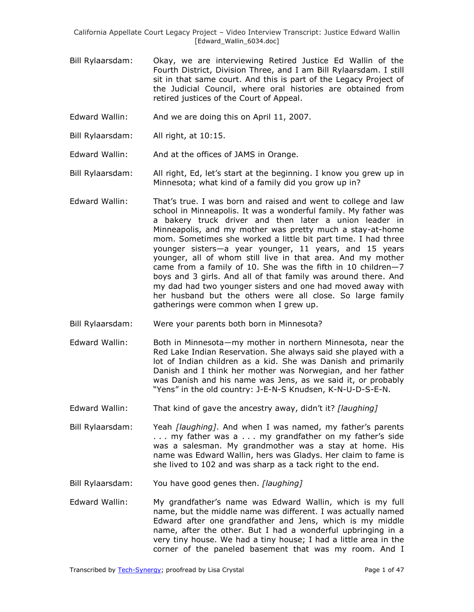- Bill Rylaarsdam: Okay, we are interviewing Retired Justice Ed Wallin of the Fourth District, Division Three, and I am Bill Rylaarsdam. I still sit in that same court. And this is part of the Legacy Project of the Judicial Council, where oral histories are obtained from retired justices of the Court of Appeal.
- Edward Wallin: And we are doing this on April 11, 2007.
- Bill Rylaarsdam: All right, at 10:15.
- Edward Wallin: And at the offices of JAMS in Orange.
- Bill Rylaarsdam: All right, Ed, let's start at the beginning. I know you grew up in Minnesota; what kind of a family did you grow up in?
- Edward Wallin: That's true. I was born and raised and went to college and law school in Minneapolis. It was a wonderful family. My father was a bakery truck driver and then later a union leader in Minneapolis, and my mother was pretty much a stay-at-home mom. Sometimes she worked a little bit part time. I had three younger sisters—a year younger, 11 years, and 15 years younger, all of whom still live in that area. And my mother came from a family of 10. She was the fifth in 10 children—7 boys and 3 girls. And all of that family was around there. And my dad had two younger sisters and one had moved away with her husband but the others were all close. So large family gatherings were common when I grew up.
- Bill Rylaarsdam: Were your parents both born in Minnesota?
- Edward Wallin: Both in Minnesota—my mother in northern Minnesota, near the Red Lake Indian Reservation. She always said she played with a lot of Indian children as a kid. She was Danish and primarily Danish and I think her mother was Norwegian, and her father was Danish and his name was Jens, as we said it, or probably "Yens" in the old country: J-E-N-S Knudsen, K-N-U-D-S-E-N.
- Edward Wallin: That kind of gave the ancestry away, didn't it? *[laughing]*
- Bill Rylaarsdam: Yeah *[laughing]*. And when I was named, my father's parents . . . my father was a . . . my grandfather on my father's side was a salesman. My grandmother was a stay at home. His name was Edward Wallin, hers was Gladys. Her claim to fame is she lived to 102 and was sharp as a tack right to the end.
- Bill Rylaarsdam: You have good genes then. *[laughing]*
- Edward Wallin: My grandfather's name was Edward Wallin, which is my full name, but the middle name was different. I was actually named Edward after one grandfather and Jens, which is my middle name, after the other. But I had a wonderful upbringing in a very tiny house. We had a tiny house; I had a little area in the corner of the paneled basement that was my room. And I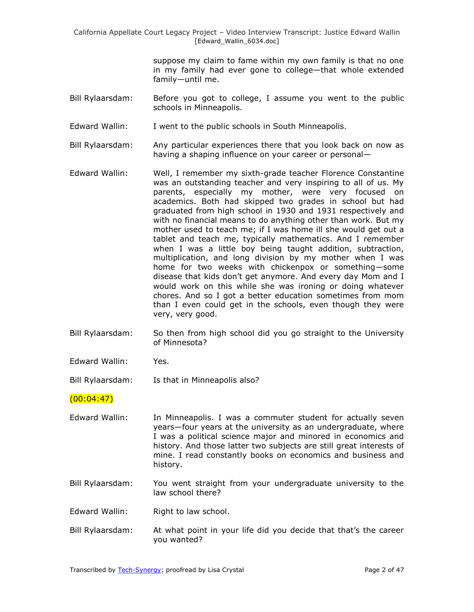suppose my claim to fame within my own family is that no one in my family had ever gone to college—that whole extended family—until me.

- Bill Rylaarsdam: Before you got to college, I assume you went to the public schools in Minneapolis.
- Edward Wallin: I went to the public schools in South Minneapolis.
- Bill Rylaarsdam: Any particular experiences there that you look back on now as having a shaping influence on your career or personal—
- Edward Wallin: Well, I remember my sixth-grade teacher Florence Constantine was an outstanding teacher and very inspiring to all of us. My parents, especially my mother, were very focused on academics. Both had skipped two grades in school but had graduated from high school in 1930 and 1931 respectively and with no financial means to do anything other than work. But my mother used to teach me; if I was home ill she would get out a tablet and teach me, typically mathematics. And I remember when I was a little boy being taught addition, subtraction, multiplication, and long division by my mother when I was home for two weeks with chickenpox or something—some disease that kids don't get anymore. And every day Mom and I would work on this while she was ironing or doing whatever chores. And so I got a better education sometimes from mom than I even could get in the schools, even though they were very, very good.
- Bill Rylaarsdam: So then from high school did you go straight to the University of Minnesota?
- Edward Wallin: Yes.

Bill Rylaarsdam: Is that in Minneapolis also?

#### $(00:04:47)$

- Edward Wallin: In Minneapolis. I was a commuter student for actually seven years—four years at the university as an undergraduate, where I was a political science major and minored in economics and history. And those latter two subjects are still great interests of mine. I read constantly books on economics and business and history.
- Bill Rylaarsdam: You went straight from your undergraduate university to the law school there?
- Edward Wallin: Right to law school.
- Bill Rylaarsdam: At what point in your life did you decide that that's the career you wanted?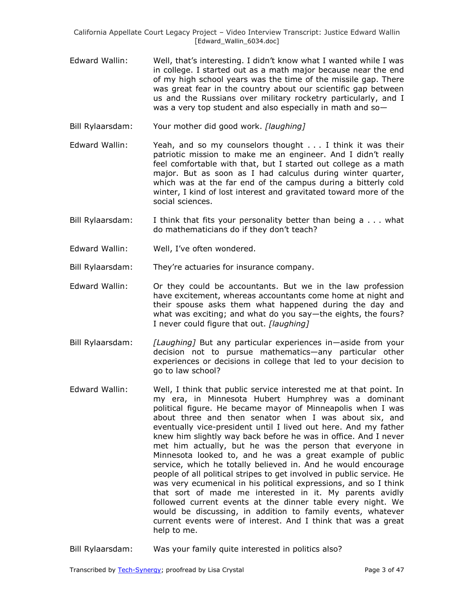- Edward Wallin: Well, that's interesting. I didn't know what I wanted while I was in college. I started out as a math major because near the end of my high school years was the time of the missile gap. There was great fear in the country about our scientific gap between us and the Russians over military rocketry particularly, and I was a very top student and also especially in math and so—
- Bill Rylaarsdam: Your mother did good work. *[laughing]*
- Edward Wallin: Yeah, and so my counselors thought . . . I think it was their patriotic mission to make me an engineer. And I didn't really feel comfortable with that, but I started out college as a math major. But as soon as I had calculus during winter quarter, which was at the far end of the campus during a bitterly cold winter, I kind of lost interest and gravitated toward more of the social sciences.
- Bill Rylaarsdam: I think that fits your personality better than being a . . . what do mathematicians do if they don't teach?
- Edward Wallin: Well, I've often wondered.
- Bill Rylaarsdam: They're actuaries for insurance company.
- Edward Wallin: Or they could be accountants. But we in the law profession have excitement, whereas accountants come home at night and their spouse asks them what happened during the day and what was exciting; and what do you say—the eights, the fours? I never could figure that out. *[laughing]*
- Bill Rylaarsdam: *[Laughing]* But any particular experiences in—aside from your decision not to pursue mathematics—any particular other experiences or decisions in college that led to your decision to go to law school?
- Edward Wallin: Well, I think that public service interested me at that point. In my era, in Minnesota Hubert Humphrey was a dominant political figure. He became mayor of Minneapolis when I was about three and then senator when I was about six, and eventually vice-president until I lived out here. And my father knew him slightly way back before he was in office. And I never met him actually, but he was the person that everyone in Minnesota looked to, and he was a great example of public service, which he totally believed in. And he would encourage people of all political stripes to get involved in public service. He was very ecumenical in his political expressions, and so I think that sort of made me interested in it. My parents avidly followed current events at the dinner table every night. We would be discussing, in addition to family events, whatever current events were of interest. And I think that was a great help to me.
- Bill Rylaarsdam: Was your family quite interested in politics also?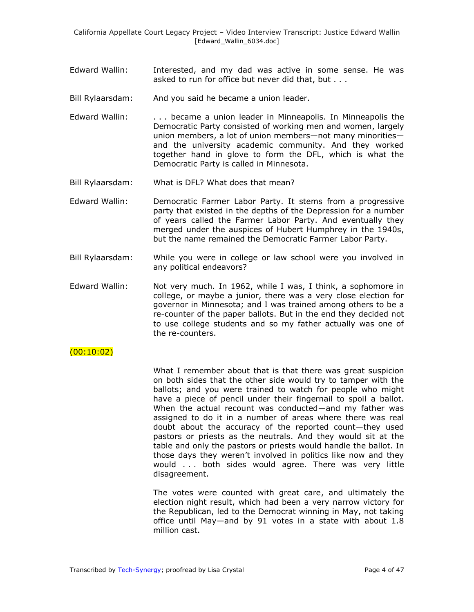- Edward Wallin: Interested, and my dad was active in some sense. He was asked to run for office but never did that, but . . .
- Bill Rylaarsdam: And you said he became a union leader.
- Edward Wallin: ... became a union leader in Minneapolis. In Minneapolis the Democratic Party consisted of working men and women, largely union members, a lot of union members—not many minorities and the university academic community. And they worked together hand in glove to form the DFL, which is what the Democratic Party is called in Minnesota.
- Bill Rylaarsdam: What is DFL? What does that mean?
- Edward Wallin: Democratic Farmer Labor Party. It stems from a progressive party that existed in the depths of the Depression for a number of years called the Farmer Labor Party. And eventually they merged under the auspices of Hubert Humphrey in the 1940s, but the name remained the Democratic Farmer Labor Party.
- Bill Rylaarsdam: While you were in college or law school were you involved in any political endeavors?
- Edward Wallin: Not very much. In 1962, while I was, I think, a sophomore in college, or maybe a junior, there was a very close election for governor in Minnesota; and I was trained among others to be a re-counter of the paper ballots. But in the end they decided not to use college students and so my father actually was one of the re-counters.

### (00:10:02)

What I remember about that is that there was great suspicion on both sides that the other side would try to tamper with the ballots; and you were trained to watch for people who might have a piece of pencil under their fingernail to spoil a ballot. When the actual recount was conducted—and my father was assigned to do it in a number of areas where there was real doubt about the accuracy of the reported count—they used pastors or priests as the neutrals. And they would sit at the table and only the pastors or priests would handle the ballot. In those days they weren't involved in politics like now and they would . . . both sides would agree. There was very little disagreement.

The votes were counted with great care, and ultimately the election night result, which had been a very narrow victory for the Republican, led to the Democrat winning in May, not taking office until May—and by 91 votes in a state with about 1.8 million cast.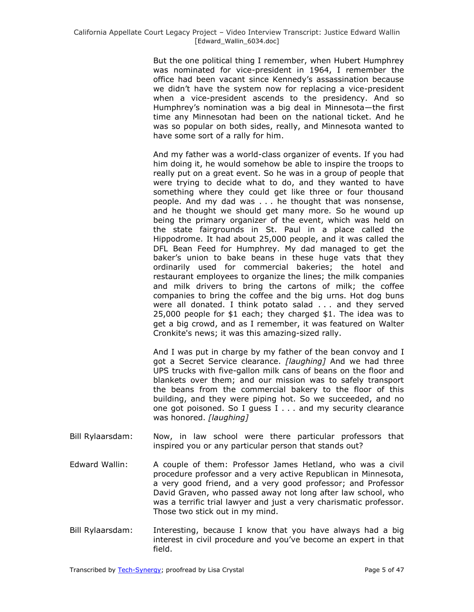But the one political thing I remember, when Hubert Humphrey was nominated for vice-president in 1964, I remember the office had been vacant since Kennedy's assassination because we didn't have the system now for replacing a vice-president when a vice-president ascends to the presidency. And so Humphrey's nomination was a big deal in Minnesota—the first time any Minnesotan had been on the national ticket. And he was so popular on both sides, really, and Minnesota wanted to have some sort of a rally for him.

And my father was a world-class organizer of events. If you had him doing it, he would somehow be able to inspire the troops to really put on a great event. So he was in a group of people that were trying to decide what to do, and they wanted to have something where they could get like three or four thousand people. And my dad was . . . he thought that was nonsense, and he thought we should get many more. So he wound up being the primary organizer of the event, which was held on the state fairgrounds in St. Paul in a place called the Hippodrome. It had about 25,000 people, and it was called the DFL Bean Feed for Humphrey. My dad managed to get the baker's union to bake beans in these huge vats that they ordinarily used for commercial bakeries; the hotel and restaurant employees to organize the lines; the milk companies and milk drivers to bring the cartons of milk; the coffee companies to bring the coffee and the big urns. Hot dog buns were all donated. I think potato salad . . . and they served 25,000 people for \$1 each; they charged \$1. The idea was to get a big crowd, and as I remember, it was featured on Walter Cronkite's news; it was this amazing-sized rally.

And I was put in charge by my father of the bean convoy and I got a Secret Service clearance. *[laughing]* And we had three UPS trucks with five-gallon milk cans of beans on the floor and blankets over them; and our mission was to safely transport the beans from the commercial bakery to the floor of this building, and they were piping hot. So we succeeded, and no one got poisoned. So I guess I . . . and my security clearance was honored. *[laughing]*

- Bill Rylaarsdam: Now, in law school were there particular professors that inspired you or any particular person that stands out?
- Edward Wallin: A couple of them: Professor James Hetland, who was a civil procedure professor and a very active Republican in Minnesota, a very good friend, and a very good professor; and Professor David Graven, who passed away not long after law school, who was a terrific trial lawyer and just a very charismatic professor. Those two stick out in my mind.
- Bill Rylaarsdam: Interesting, because I know that you have always had a big interest in civil procedure and you've become an expert in that field.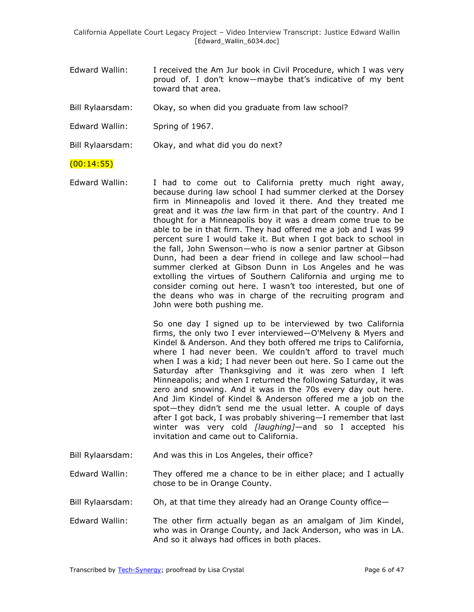- Edward Wallin: I received the Am Jur book in Civil Procedure, which I was very proud of. I don't know—maybe that's indicative of my bent toward that area.
- Bill Rylaarsdam: Okay, so when did you graduate from law school?

Edward Wallin: Spring of 1967.

Bill Rylaarsdam: Okay, and what did you do next?

### $(00:14:55)$

Edward Wallin: I had to come out to California pretty much right away, because during law school I had summer clerked at the Dorsey firm in Minneapolis and loved it there. And they treated me great and it was *the* law firm in that part of the country. And I thought for a Minneapolis boy it was a dream come true to be able to be in that firm. They had offered me a job and I was 99 percent sure I would take it. But when I got back to school in the fall, John Swenson—who is now a senior partner at Gibson Dunn, had been a dear friend in college and law school—had summer clerked at Gibson Dunn in Los Angeles and he was extolling the virtues of Southern California and urging me to consider coming out here. I wasn't too interested, but one of the deans who was in charge of the recruiting program and John were both pushing me.

> So one day I signed up to be interviewed by two California firms, the only two I ever interviewed—O'Melveny & Myers and Kindel & Anderson. And they both offered me trips to California, where I had never been. We couldn't afford to travel much when I was a kid; I had never been out here. So I came out the Saturday after Thanksgiving and it was zero when I left Minneapolis; and when I returned the following Saturday, it was zero and snowing. And it was in the 70s every day out here. And Jim Kindel of Kindel & Anderson offered me a job on the spot—they didn't send me the usual letter. A couple of days after I got back, I was probably shivering—I remember that last winter was very cold *[laughing]*—and so I accepted his invitation and came out to California.

- Bill Rylaarsdam: And was this in Los Angeles, their office?
- Edward Wallin: They offered me a chance to be in either place; and I actually chose to be in Orange County.
- Bill Rylaarsdam: Oh, at that time they already had an Orange County office—
- Edward Wallin: The other firm actually began as an amalgam of Jim Kindel, who was in Orange County, and Jack Anderson, who was in LA. And so it always had offices in both places.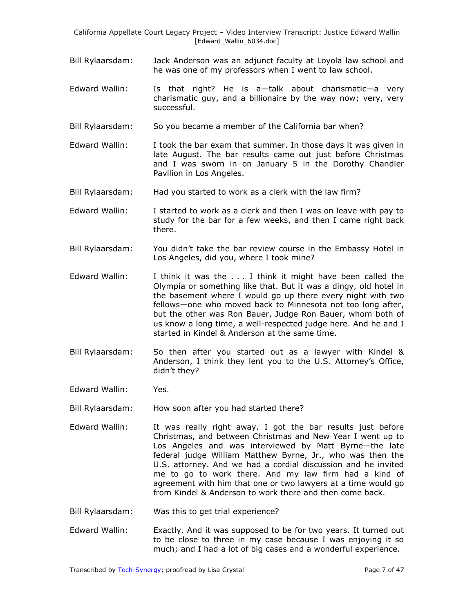- Bill Rylaarsdam: Jack Anderson was an adjunct faculty at Loyola law school and he was one of my professors when I went to law school.
- Edward Wallin: Is that right? He is a—talk about charismatic—a very charismatic guy, and a billionaire by the way now; very, very successful.
- Bill Rylaarsdam: So you became a member of the California bar when?
- Edward Wallin: I took the bar exam that summer. In those days it was given in late August. The bar results came out just before Christmas and I was sworn in on January 5 in the Dorothy Chandler Pavilion in Los Angeles.
- Bill Rylaarsdam: Had you started to work as a clerk with the law firm?
- Edward Wallin: I started to work as a clerk and then I was on leave with pay to study for the bar for a few weeks, and then I came right back there.
- Bill Rylaarsdam: You didn't take the bar review course in the Embassy Hotel in Los Angeles, did you, where I took mine?
- Edward Wallin: I think it was the . . . I think it might have been called the Olympia or something like that. But it was a dingy, old hotel in the basement where I would go up there every night with two fellows—one who moved back to Minnesota not too long after, but the other was Ron Bauer, Judge Ron Bauer, whom both of us know a long time, a well-respected judge here. And he and I started in Kindel & Anderson at the same time.
- Bill Rylaarsdam: So then after you started out as a lawyer with Kindel & Anderson, I think they lent you to the U.S. Attorney's Office, didn't they?
- Edward Wallin: Yes.

Bill Rylaarsdam: How soon after you had started there?

- Edward Wallin: It was really right away. I got the bar results just before Christmas, and between Christmas and New Year I went up to Los Angeles and was interviewed by Matt Byrne—the late federal judge William Matthew Byrne, Jr., who was then the U.S. attorney. And we had a cordial discussion and he invited me to go to work there. And my law firm had a kind of agreement with him that one or two lawyers at a time would go from Kindel & Anderson to work there and then come back.
- Bill Rylaarsdam: Was this to get trial experience?
- Edward Wallin: Exactly. And it was supposed to be for two years. It turned out to be close to three in my case because I was enjoying it so much; and I had a lot of big cases and a wonderful experience.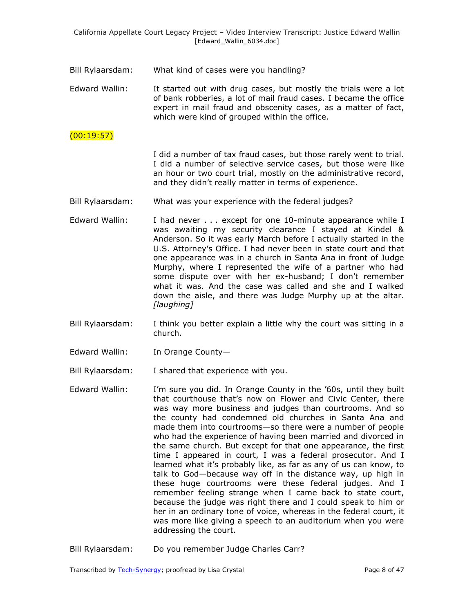- Bill Rylaarsdam: What kind of cases were you handling?
- Edward Wallin: It started out with drug cases, but mostly the trials were a lot of bank robberies, a lot of mail fraud cases. I became the office expert in mail fraud and obscenity cases, as a matter of fact, which were kind of grouped within the office.

# $(00:19:57)$

I did a number of tax fraud cases, but those rarely went to trial. I did a number of selective service cases, but those were like an hour or two court trial, mostly on the administrative record, and they didn't really matter in terms of experience.

- Bill Rylaarsdam: What was your experience with the federal judges?
- Edward Wallin: I had never . . . except for one 10-minute appearance while I was awaiting my security clearance I stayed at Kindel & Anderson. So it was early March before I actually started in the U.S. Attorney's Office. I had never been in state court and that one appearance was in a church in Santa Ana in front of Judge Murphy, where I represented the wife of a partner who had some dispute over with her ex-husband; I don't remember what it was. And the case was called and she and I walked down the aisle, and there was Judge Murphy up at the altar. *[laughing]*
- Bill Rylaarsdam: I think you better explain a little why the court was sitting in a church.
- Edward Wallin: In Orange County-
- Bill Rylaarsdam: I shared that experience with you.
- Edward Wallin: I'm sure you did. In Orange County in the '60s, until they built that courthouse that's now on Flower and Civic Center, there was way more business and judges than courtrooms. And so the county had condemned old churches in Santa Ana and made them into courtrooms—so there were a number of people who had the experience of having been married and divorced in the same church. But except for that one appearance, the first time I appeared in court, I was a federal prosecutor. And I learned what it's probably like, as far as any of us can know, to talk to God—because way off in the distance way, up high in these huge courtrooms were these federal judges. And I remember feeling strange when I came back to state court, because the judge was right there and I could speak to him or her in an ordinary tone of voice, whereas in the federal court, it was more like giving a speech to an auditorium when you were addressing the court.
- Bill Rylaarsdam: Do you remember Judge Charles Carr?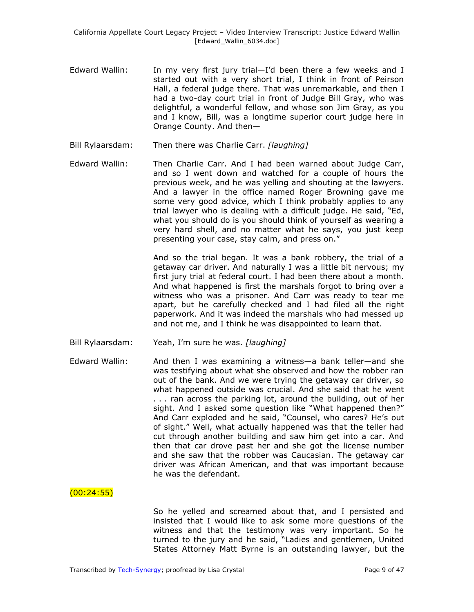- Edward Wallin: In my very first jury trial—I'd been there a few weeks and I started out with a very short trial, I think in front of Peirson Hall, a federal judge there. That was unremarkable, and then I had a two-day court trial in front of Judge Bill Gray, who was delightful, a wonderful fellow, and whose son Jim Gray, as you and I know, Bill, was a longtime superior court judge here in Orange County. And then—
- Bill Rylaarsdam: Then there was Charlie Carr. *[laughing]*
- Edward Wallin: Then Charlie Carr. And I had been warned about Judge Carr, and so I went down and watched for a couple of hours the previous week, and he was yelling and shouting at the lawyers. And a lawyer in the office named Roger Browning gave me some very good advice, which I think probably applies to any trial lawyer who is dealing with a difficult judge. He said, "Ed, what you should do is you should think of yourself as wearing a very hard shell, and no matter what he says, you just keep presenting your case, stay calm, and press on."

And so the trial began. It was a bank robbery, the trial of a getaway car driver. And naturally I was a little bit nervous; my first jury trial at federal court. I had been there about a month. And what happened is first the marshals forgot to bring over a witness who was a prisoner. And Carr was ready to tear me apart, but he carefully checked and I had filed all the right paperwork. And it was indeed the marshals who had messed up and not me, and I think he was disappointed to learn that.

- Bill Rylaarsdam: Yeah, I'm sure he was. *[laughing]*
- Edward Wallin: And then I was examining a witness—a bank teller—and she was testifying about what she observed and how the robber ran out of the bank. And we were trying the getaway car driver, so what happened outside was crucial. And she said that he went . . . ran across the parking lot, around the building, out of her sight. And I asked some question like "What happened then?" And Carr exploded and he said, "Counsel, who cares? He's out of sight." Well, what actually happened was that the teller had cut through another building and saw him get into a car. And then that car drove past her and she got the license number and she saw that the robber was Caucasian. The getaway car driver was African American, and that was important because he was the defendant.

# $(00:24:55)$

So he yelled and screamed about that, and I persisted and insisted that I would like to ask some more questions of the witness and that the testimony was very important. So he turned to the jury and he said, "Ladies and gentlemen, United States Attorney Matt Byrne is an outstanding lawyer, but the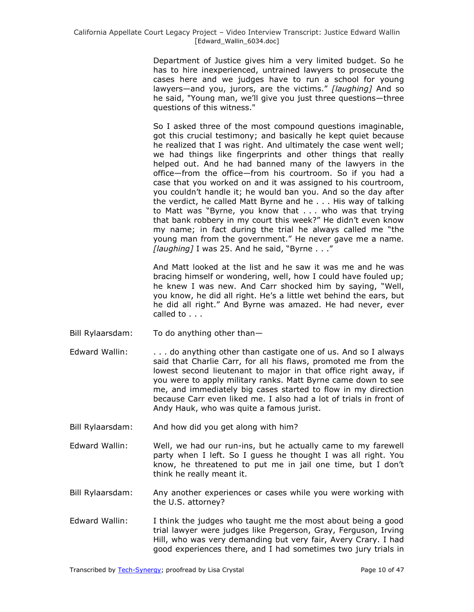Department of Justice gives him a very limited budget. So he has to hire inexperienced, untrained lawyers to prosecute the cases here and we judges have to run a school for young lawyers—and you, jurors, are the victims." [laughing] And so he said, "Young man, we'll give you just three questions—three questions of this witness."

So I asked three of the most compound questions imaginable, got this crucial testimony; and basically he kept quiet because he realized that I was right. And ultimately the case went well; we had things like fingerprints and other things that really helped out. And he had banned many of the lawyers in the office—from the office—from his courtroom. So if you had a case that you worked on and it was assigned to his courtroom, you couldn't handle it; he would ban you. And so the day after the verdict, he called Matt Byrne and he . . . His way of talking to Matt was "Byrne, you know that . . . who was that trying that bank robbery in my court this week?" He didn't even know my name; in fact during the trial he always called me "the young man from the government." He never gave me a name. [laughing] I was 25. And he said, "Byrne . . ."

And Matt looked at the list and he saw it was me and he was bracing himself or wondering, well, how I could have fouled up; he knew I was new. And Carr shocked him by saying, "Well, you know, he did all right. He's a little wet behind the ears, but he did all right." And Byrne was amazed. He had never, ever called to . . .

- Bill Rylaarsdam: To do anything other than—
- Edward Wallin: . . . . do anything other than castigate one of us. And so I always said that Charlie Carr, for all his flaws, promoted me from the lowest second lieutenant to major in that office right away, if you were to apply military ranks. Matt Byrne came down to see me, and immediately big cases started to flow in my direction because Carr even liked me. I also had a lot of trials in front of Andy Hauk, who was quite a famous jurist.
- Bill Rylaarsdam: And how did you get along with him?
- Edward Wallin: Well, we had our run-ins, but he actually came to my farewell party when I left. So I guess he thought I was all right. You know, he threatened to put me in jail one time, but I don't think he really meant it.
- Bill Rylaarsdam: Any another experiences or cases while you were working with the U.S. attorney?
- Edward Wallin: I think the judges who taught me the most about being a good trial lawyer were judges like Pregerson, Gray, Ferguson, Irving Hill, who was very demanding but very fair, Avery Crary. I had good experiences there, and I had sometimes two jury trials in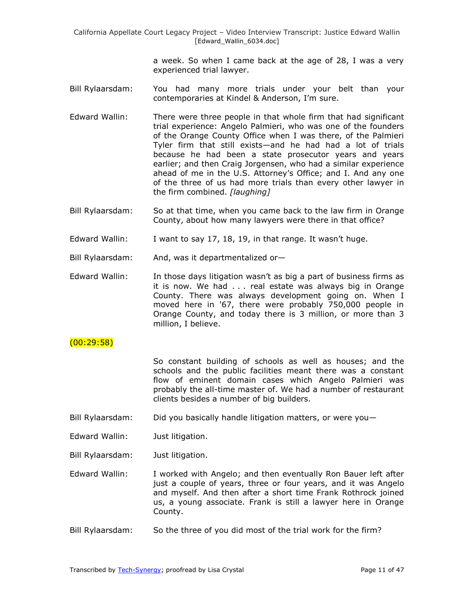> a week. So when I came back at the age of 28, I was a very experienced trial lawyer.

- Bill Rylaarsdam: You had many more trials under your belt than your contemporaries at Kindel & Anderson, I'm sure.
- Edward Wallin: There were three people in that whole firm that had significant trial experience: Angelo Palmieri, who was one of the founders of the Orange County Office when I was there, of the Palmieri Tyler firm that still exists—and he had had a lot of trials because he had been a state prosecutor years and years earlier; and then Craig Jorgensen, who had a similar experience ahead of me in the U.S. Attorney's Office; and I. And any one of the three of us had more trials than every other lawyer in the firm combined. *[laughing]*
- Bill Rylaarsdam: So at that time, when you came back to the law firm in Orange County, about how many lawyers were there in that office?
- Edward Wallin: I want to say 17, 18, 19, in that range. It wasn't huge.
- Bill Rylaarsdam: And, was it departmentalized or—
- Edward Wallin: In those days litigation wasn't as big a part of business firms as it is now. We had . . . real estate was always big in Orange County. There was always development going on. When I moved here in '67, there were probably 750,000 people in Orange County, and today there is 3 million, or more than 3 million, I believe.

### (00:29:58)

So constant building of schools as well as houses; and the schools and the public facilities meant there was a constant flow of eminent domain cases which Angelo Palmieri was probably the all-time master of. We had a number of restaurant clients besides a number of big builders.

- Bill Rylaarsdam: Did you basically handle litigation matters, or were you—
- Edward Wallin: Just litigation.
- Bill Rylaarsdam: Just litigation.

Edward Wallin: I worked with Angelo; and then eventually Ron Bauer left after just a couple of years, three or four years, and it was Angelo and myself. And then after a short time Frank Rothrock joined us, a young associate. Frank is still a lawyer here in Orange County.

Bill Rylaarsdam: So the three of you did most of the trial work for the firm?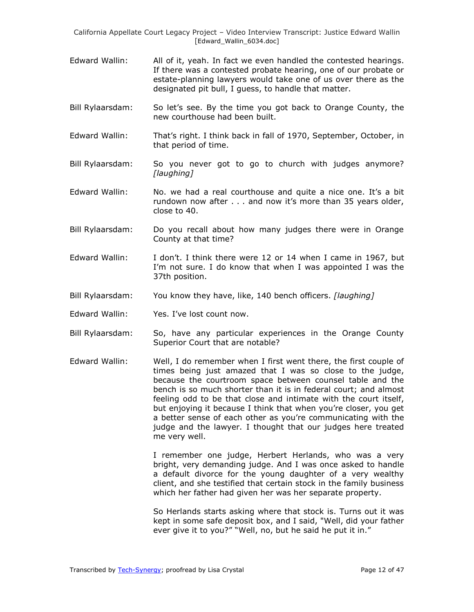- Edward Wallin: All of it, yeah. In fact we even handled the contested hearings. If there was a contested probate hearing, one of our probate or estate-planning lawyers would take one of us over there as the designated pit bull, I guess, to handle that matter.
- Bill Rylaarsdam: So let's see. By the time you got back to Orange County, the new courthouse had been built.
- Edward Wallin: That's right. I think back in fall of 1970, September, October, in that period of time.
- Bill Rylaarsdam: So you never got to go to church with judges anymore? *[laughing]*
- Edward Wallin: No. we had a real courthouse and quite a nice one. It's a bit rundown now after . . . and now it's more than 35 years older, close to 40.
- Bill Rylaarsdam: Do you recall about how many judges there were in Orange County at that time?
- Edward Wallin: I don't. I think there were 12 or 14 when I came in 1967, but I'm not sure. I do know that when I was appointed I was the 37th position.
- Bill Rylaarsdam: You know they have, like, 140 bench officers. *[laughing]*
- Edward Wallin: Yes. I've lost count now.
- Bill Rylaarsdam: So, have any particular experiences in the Orange County Superior Court that are notable?
- Edward Wallin: Well, I do remember when I first went there, the first couple of times being just amazed that I was so close to the judge, because the courtroom space between counsel table and the bench is so much shorter than it is in federal court; and almost feeling odd to be that close and intimate with the court itself, but enjoying it because I think that when you're closer, you get a better sense of each other as you're communicating with the judge and the lawyer. I thought that our judges here treated me very well.

I remember one judge, Herbert Herlands, who was a very bright, very demanding judge. And I was once asked to handle a default divorce for the young daughter of a very wealthy client, and she testified that certain stock in the family business which her father had given her was her separate property.

So Herlands starts asking where that stock is. Turns out it was kept in some safe deposit box, and I said, "Well, did your father ever give it to you?" "Well, no, but he said he put it in."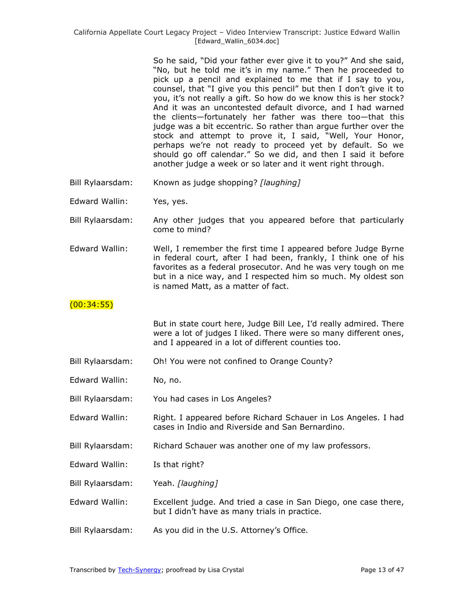So he said, "Did your father ever give it to you?" And she said, "No, but he told me it's in my name." Then he proceeded to pick up a pencil and explained to me that if I say to you, counsel, that "I give you this pencil" but then I don't give it to you, it's not really a gift. So how do we know this is her stock? And it was an uncontested default divorce, and I had warned the clients—fortunately her father was there too—that this judge was a bit eccentric. So rather than argue further over the stock and attempt to prove it, I said, "Well, Your Honor, perhaps we're not ready to proceed yet by default. So we should go off calendar." So we did, and then I said it before another judge a week or so later and it went right through.

Bill Rylaarsdam: Known as judge shopping? *[laughing]*

Edward Wallin: Yes, yes.

- Bill Rylaarsdam: Any other judges that you appeared before that particularly come to mind?
- Edward Wallin: Well, I remember the first time I appeared before Judge Byrne in federal court, after I had been, frankly, I think one of his favorites as a federal prosecutor. And he was very tough on me but in a nice way, and I respected him so much. My oldest son is named Matt, as a matter of fact.

### (00:34:55)

But in state court here, Judge Bill Lee, I'd really admired. There were a lot of judges I liked. There were so many different ones, and I appeared in a lot of different counties too.

- Bill Rylaarsdam: Oh! You were not confined to Orange County?
- Edward Wallin: No, no.

Bill Rylaarsdam: You had cases in Los Angeles?

- Edward Wallin: Right. I appeared before Richard Schauer in Los Angeles. I had cases in Indio and Riverside and San Bernardino.
- Bill Rylaarsdam: Richard Schauer was another one of my law professors.
- Edward Wallin: Is that right?
- Bill Rylaarsdam: Yeah. *[laughing]*
- Edward Wallin: Excellent judge. And tried a case in San Diego, one case there, but I didn't have as many trials in practice.
- Bill Rylaarsdam: As you did in the U.S. Attorney's Office.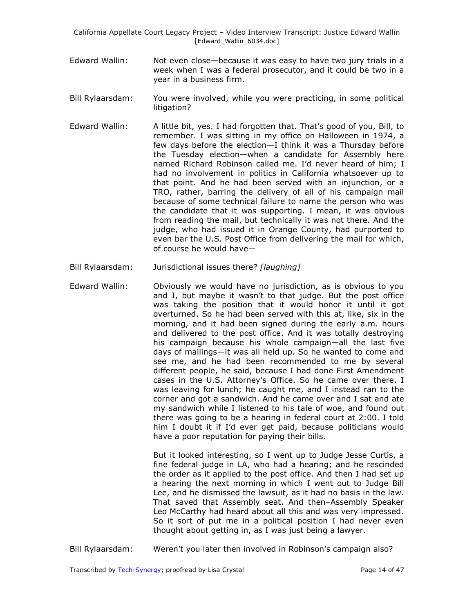- Edward Wallin: Not even close—because it was easy to have two jury trials in a week when I was a federal prosecutor, and it could be two in a year in a business firm.
- Bill Rylaarsdam: You were involved, while you were practicing, in some political litigation?
- Edward Wallin: A little bit, yes. I had forgotten that. That's good of you, Bill, to remember. I was sitting in my office on Halloween in 1974, a few days before the election—I think it was a Thursday before the Tuesday election—when a candidate for Assembly here named Richard Robinson called me. I'd never heard of him; I had no involvement in politics in California whatsoever up to that point. And he had been served with an injunction, or a TRO, rather, barring the delivery of all of his campaign mail because of some technical failure to name the person who was the candidate that it was supporting. I mean, it was obvious from reading the mail, but technically it was not there. And the judge, who had issued it in Orange County, had purported to even bar the U.S. Post Office from delivering the mail for which, of course he would have—
- Bill Rylaarsdam: Jurisdictional issues there? *[laughing]*
- Edward Wallin: Obviously we would have no jurisdiction, as is obvious to you and I, but maybe it wasn't to that judge. But the post office was taking the position that it would honor it until it got overturned. So he had been served with this at, like, six in the morning, and it had been signed during the early a.m. hours and delivered to the post office. And it was totally destroying his campaign because his whole campaign—all the last five days of mailings—it was all held up. So he wanted to come and see me, and he had been recommended to me by several different people, he said, because I had done First Amendment cases in the U.S. Attorney's Office. So he came over there. I was leaving for lunch; he caught me, and I instead ran to the corner and got a sandwich. And he came over and I sat and ate my sandwich while I listened to his tale of woe, and found out there was going to be a hearing in federal court at 2:00. I told him I doubt it if I'd ever get paid, because politicians would have a poor reputation for paying their bills.

But it looked interesting, so I went up to Judge Jesse Curtis, a fine federal judge in LA, who had a hearing; and he rescinded the order as it applied to the post office. And then I had set up a hearing the next morning in which I went out to Judge Bill Lee, and he dismissed the lawsuit, as it had no basis in the law. That saved that Assembly seat. And then–Assembly Speaker Leo McCarthy had heard about all this and was very impressed. So it sort of put me in a political position I had never even thought about getting in, as I was just being a lawyer.

Bill Rylaarsdam: Weren't you later then involved in Robinson's campaign also?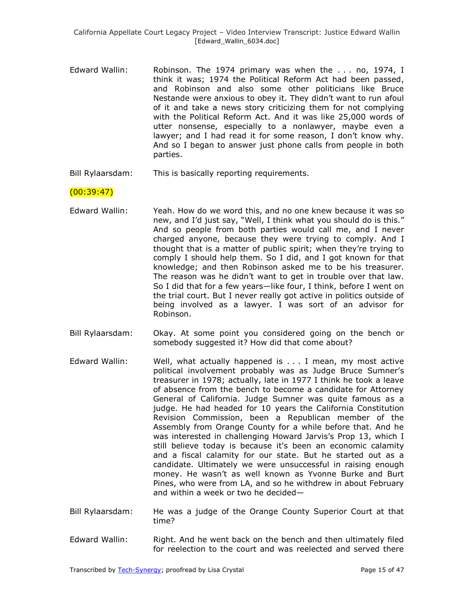- Edward Wallin: Robinson. The 1974 primary was when the ... no, 1974, I think it was; 1974 the Political Reform Act had been passed, and Robinson and also some other politicians like Bruce Nestande were anxious to obey it. They didn't want to run afoul of it and take a news story criticizing them for not complying with the Political Reform Act. And it was like 25,000 words of utter nonsense, especially to a nonlawyer, maybe even a lawyer; and I had read it for some reason, I don't know why. And so I began to answer just phone calls from people in both parties.
- Bill Rylaarsdam: This is basically reporting requirements.

### $(00:39:47)$

- Edward Wallin: Yeah. How do we word this, and no one knew because it was so new, and I'd just say, "Well, I think what you should do is this." And so people from both parties would call me, and I never charged anyone, because they were trying to comply. And I thought that is a matter of public spirit; when they're trying to comply I should help them. So I did, and I got known for that knowledge; and then Robinson asked me to be his treasurer. The reason was he didn't want to get in trouble over that law. So I did that for a few years—like four, I think, before I went on the trial court. But I never really got active in politics outside of being involved as a lawyer. I was sort of an advisor for Robinson.
- Bill Rylaarsdam: Okay. At some point you considered going on the bench or somebody suggested it? How did that come about?
- Edward Wallin: Well, what actually happened is . . . I mean, my most active political involvement probably was as Judge Bruce Sumner's treasurer in 1978; actually, late in 1977 I think he took a leave of absence from the bench to become a candidate for Attorney General of California. Judge Sumner was quite famous as a judge. He had headed for 10 years the California Constitution Revision Commission, been a Republican member of the Assembly from Orange County for a while before that. And he was interested in challenging Howard Jarvis's Prop 13, which I still believe today is because it's been an economic calamity and a fiscal calamity for our state. But he started out as a candidate. Ultimately we were unsuccessful in raising enough money. He wasn't as well known as Yvonne Burke and Burt Pines, who were from LA, and so he withdrew in about February and within a week or two he decided—
- Bill Rylaarsdam: He was a judge of the Orange County Superior Court at that time?
- Edward Wallin: Right. And he went back on the bench and then ultimately filed for reelection to the court and was reelected and served there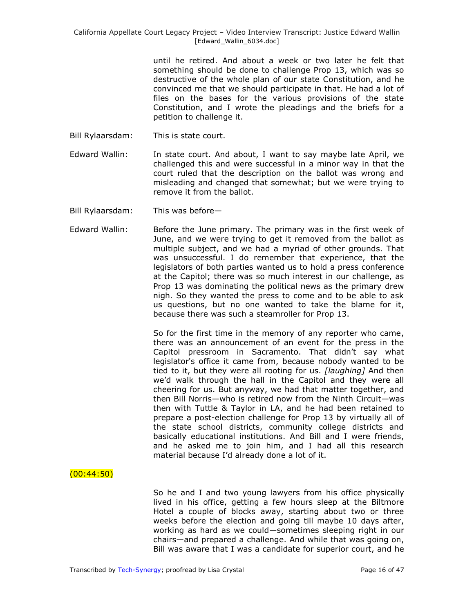until he retired. And about a week or two later he felt that something should be done to challenge Prop 13, which was so destructive of the whole plan of our state Constitution, and he convinced me that we should participate in that. He had a lot of files on the bases for the various provisions of the state Constitution, and I wrote the pleadings and the briefs for a petition to challenge it.

- Bill Rylaarsdam: This is state court.
- Edward Wallin: In state court. And about, I want to say maybe late April, we challenged this and were successful in a minor way in that the court ruled that the description on the ballot was wrong and misleading and changed that somewhat; but we were trying to remove it from the ballot.
- Bill Rylaarsdam: This was before—
- Edward Wallin: Before the June primary. The primary was in the first week of June, and we were trying to get it removed from the ballot as multiple subject, and we had a myriad of other grounds. That was unsuccessful. I do remember that experience, that the legislators of both parties wanted us to hold a press conference at the Capitol; there was so much interest in our challenge, as Prop 13 was dominating the political news as the primary drew nigh. So they wanted the press to come and to be able to ask us questions, but no one wanted to take the blame for it, because there was such a steamroller for Prop 13.

So for the first time in the memory of any reporter who came, there was an announcement of an event for the press in the Capitol pressroom in Sacramento. That didn't say what legislator's office it came from, because nobody wanted to be tied to it, but they were all rooting for us. *[laughing]* And then we'd walk through the hall in the Capitol and they were all cheering for us. But anyway, we had that matter together, and then Bill Norris—who is retired now from the Ninth Circuit—was then with Tuttle & Taylor in LA, and he had been retained to prepare a post-election challenge for Prop 13 by virtually all of the state school districts, community college districts and basically educational institutions. And Bill and I were friends, and he asked me to join him, and I had all this research material because I'd already done a lot of it.

### (00:44:50)

So he and I and two young lawyers from his office physically lived in his office, getting a few hours sleep at the Biltmore Hotel a couple of blocks away, starting about two or three weeks before the election and going till maybe 10 days after, working as hard as we could—sometimes sleeping right in our chairs—and prepared a challenge. And while that was going on, Bill was aware that I was a candidate for superior court, and he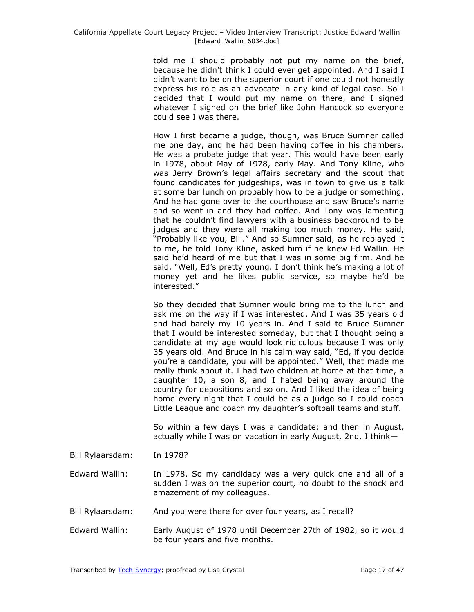told me I should probably not put my name on the brief, because he didn't think I could ever get appointed. And I said I didn't want to be on the superior court if one could not honestly express his role as an advocate in any kind of legal case. So I decided that I would put my name on there, and I signed whatever I signed on the brief like John Hancock so everyone could see I was there.

How I first became a judge, though, was Bruce Sumner called me one day, and he had been having coffee in his chambers. He was a probate judge that year. This would have been early in 1978, about May of 1978, early May. And Tony Kline, who was Jerry Brown's legal affairs secretary and the scout that found candidates for judgeships, was in town to give us a talk at some bar lunch on probably how to be a judge or something. And he had gone over to the courthouse and saw Bruce's name and so went in and they had coffee. And Tony was lamenting that he couldn't find lawyers with a business background to be judges and they were all making too much money. He said, "Probably like you, Bill." And so Sumner said, as he replayed it to me, he told Tony Kline, asked him if he knew Ed Wallin. He said he'd heard of me but that I was in some big firm. And he said, "Well, Ed's pretty young. I don't think he's making a lot of money yet and he likes public service, so maybe he'd be interested."

So they decided that Sumner would bring me to the lunch and ask me on the way if I was interested. And I was 35 years old and had barely my 10 years in. And I said to Bruce Sumner that I would be interested someday, but that I thought being a candidate at my age would look ridiculous because I was only 35 years old. And Bruce in his calm way said, "Ed, if you decide you're a candidate, you will be appointed." Well, that made me really think about it. I had two children at home at that time, a daughter 10, a son 8, and I hated being away around the country for depositions and so on. And I liked the idea of being home every night that I could be as a judge so I could coach Little League and coach my daughter's softball teams and stuff.

So within a few days I was a candidate; and then in August, actually while I was on vacation in early August, 2nd, I think—

Bill Rylaarsdam: In 1978?

Edward Wallin: In 1978. So my candidacy was a very quick one and all of a sudden I was on the superior court, no doubt to the shock and amazement of my colleagues.

- Bill Rylaarsdam: And you were there for over four years, as I recall?
- Edward Wallin: Early August of 1978 until December 27th of 1982, so it would be four years and five months.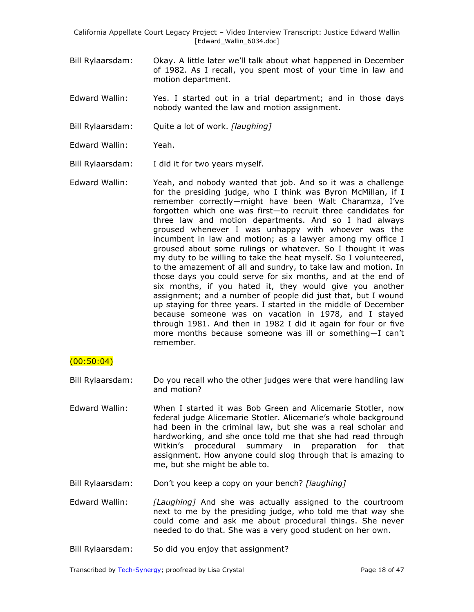- Bill Rylaarsdam: Okay. A little later we'll talk about what happened in December of 1982. As I recall, you spent most of your time in law and motion department.
- Edward Wallin: Yes. I started out in a trial department; and in those days nobody wanted the law and motion assignment.
- Bill Rylaarsdam: Quite a lot of work. *[laughing]*
- Edward Wallin: Yeah.
- Bill Rylaarsdam: I did it for two years myself.
- Edward Wallin: Yeah, and nobody wanted that job. And so it was a challenge for the presiding judge, who I think was Byron McMillan, if I remember correctly—might have been Walt Charamza, I've forgotten which one was first—to recruit three candidates for three law and motion departments. And so I had always groused whenever I was unhappy with whoever was the incumbent in law and motion; as a lawyer among my office I groused about some rulings or whatever. So I thought it was my duty to be willing to take the heat myself. So I volunteered, to the amazement of all and sundry, to take law and motion. In those days you could serve for six months, and at the end of six months, if you hated it, they would give you another assignment; and a number of people did just that, but I wound up staying for three years. I started in the middle of December because someone was on vacation in 1978, and I stayed through 1981. And then in 1982 I did it again for four or five more months because someone was ill or something—I can't remember.

#### $(00:50:04)$

- Bill Rylaarsdam: Do you recall who the other judges were that were handling law and motion?
- Edward Wallin: When I started it was Bob Green and Alicemarie Stotler, now federal judge Alicemarie Stotler. Alicemarie's whole background had been in the criminal law, but she was a real scholar and hardworking, and she once told me that she had read through Witkin's procedural summary in preparation for that assignment. How anyone could slog through that is amazing to me, but she might be able to.
- Bill Rylaarsdam: Don't you keep a copy on your bench? *[laughing]*

Edward Wallin: *[Laughing]* And she was actually assigned to the courtroom next to me by the presiding judge, who told me that way she could come and ask me about procedural things. She never needed to do that. She was a very good student on her own.

Bill Rylaarsdam: So did you enjoy that assignment?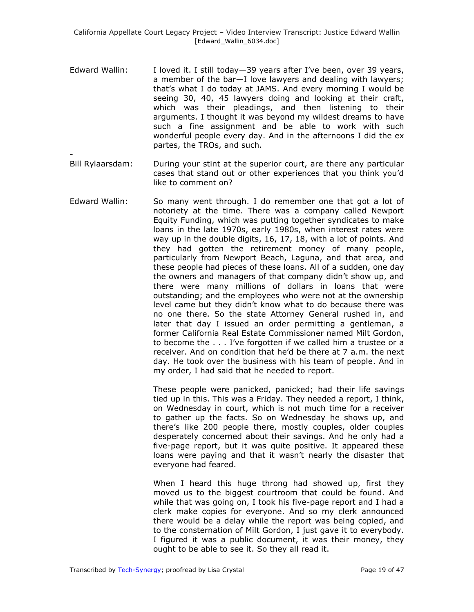- Edward Wallin: I loved it. I still today-39 years after I've been, over 39 years, a member of the bar—I love lawyers and dealing with lawyers; that's what I do today at JAMS. And every morning I would be seeing 30, 40, 45 lawyers doing and looking at their craft. which was their pleadings, and then listening to their arguments. I thought it was beyond my wildest dreams to have such a fine assignment and be able to work with such wonderful people every day. And in the afternoons I did the ex partes, the TROs, and such.
- Bill Rylaarsdam: During your stint at the superior court, are there any particular cases that stand out or other experiences that you think you'd like to comment on?
- Edward Wallin: So many went through. I do remember one that got a lot of notoriety at the time. There was a company called Newport Equity Funding, which was putting together syndicates to make loans in the late 1970s, early 1980s, when interest rates were way up in the double digits, 16, 17, 18, with a lot of points. And they had gotten the retirement money of many people, particularly from Newport Beach, Laguna, and that area, and these people had pieces of these loans. All of a sudden, one day the owners and managers of that company didn't show up, and there were many millions of dollars in loans that were outstanding; and the employees who were not at the ownership level came but they didn't know what to do because there was no one there. So the state Attorney General rushed in, and later that day I issued an order permitting a gentleman, a former California Real Estate Commissioner named Milt Gordon, to become the . . . I've forgotten if we called him a trustee or a receiver. And on condition that he'd be there at 7 a.m. the next day. He took over the business with his team of people. And in my order, I had said that he needed to report.

These people were panicked, panicked; had their life savings tied up in this. This was a Friday. They needed a report, I think, on Wednesday in court, which is not much time for a receiver to gather up the facts. So on Wednesday he shows up, and there's like 200 people there, mostly couples, older couples desperately concerned about their savings. And he only had a five-page report, but it was quite positive. It appeared these loans were paying and that it wasn't nearly the disaster that everyone had feared.

When I heard this huge throng had showed up, first they moved us to the biggest courtroom that could be found. And while that was going on, I took his five-page report and I had a clerk make copies for everyone. And so my clerk announced there would be a delay while the report was being copied, and to the consternation of Milt Gordon, I just gave it to everybody. I figured it was a public document, it was their money, they ought to be able to see it. So they all read it.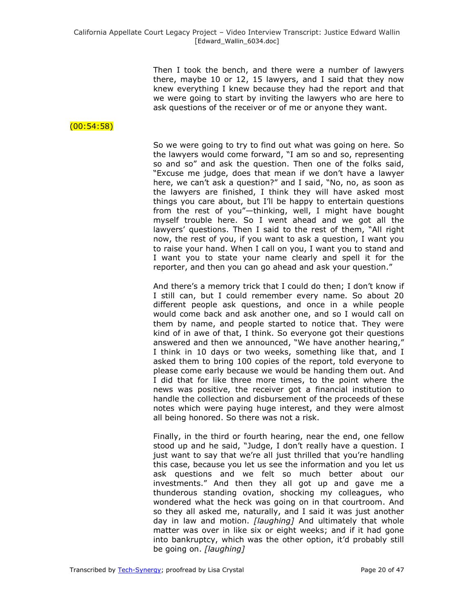Then I took the bench, and there were a number of lawyers there, maybe 10 or 12, 15 lawyers, and I said that they now knew everything I knew because they had the report and that we were going to start by inviting the lawyers who are here to ask questions of the receiver or of me or anyone they want.

## (00:54:58)

So we were going to try to find out what was going on here. So the lawyers would come forward, "I am so and so, representing so and so" and ask the question. Then one of the folks said, "Excuse me judge, does that mean if we don't have a lawyer here, we can't ask a question?" and I said, "No, no, as soon as the lawyers are finished, I think they will have asked most things you care about, but I'll be happy to entertain questions from the rest of you"-thinking, well, I might have bought myself trouble here. So I went ahead and we got all the lawyers' questions. Then I said to the rest of them, "All right now, the rest of you, if you want to ask a question, I want you to raise your hand. When I call on you, I want you to stand and I want you to state your name clearly and spell it for the reporter, and then you can go ahead and ask your question."

And there's a memory trick that I could do then; I don't know if I still can, but I could remember every name. So about 20 different people ask questions, and once in a while people would come back and ask another one, and so I would call on them by name, and people started to notice that. They were kind of in awe of that, I think. So everyone got their questions answered and then we announced, "We have another hearing," I think in 10 days or two weeks, something like that, and I asked them to bring 100 copies of the report, told everyone to please come early because we would be handing them out. And I did that for like three more times, to the point where the news was positive, the receiver got a financial institution to handle the collection and disbursement of the proceeds of these notes which were paying huge interest, and they were almost all being honored. So there was not a risk.

Finally, in the third or fourth hearing, near the end, one fellow stood up and he said, "Judge, I don't really have a question. I just want to say that we're all just thrilled that you're handling this case, because you let us see the information and you let us ask questions and we felt so much better about our investments.‖ And then they all got up and gave me a thunderous standing ovation, shocking my colleagues, who wondered what the heck was going on in that courtroom. And so they all asked me, naturally, and I said it was just another day in law and motion. *[laughing]* And ultimately that whole matter was over in like six or eight weeks; and if it had gone into bankruptcy, which was the other option, it'd probably still be going on. *[laughing]*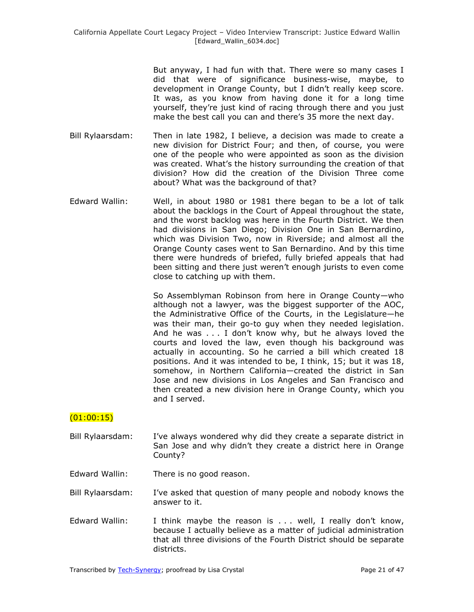But anyway, I had fun with that. There were so many cases I did that were of significance business-wise, maybe, to development in Orange County, but I didn't really keep score. It was, as you know from having done it for a long time yourself, they're just kind of racing through there and you just make the best call you can and there's 35 more the next day.

- Bill Rylaarsdam: Then in late 1982, I believe, a decision was made to create a new division for District Four; and then, of course, you were one of the people who were appointed as soon as the division was created. What's the history surrounding the creation of that division? How did the creation of the Division Three come about? What was the background of that?
- Edward Wallin: Well, in about 1980 or 1981 there began to be a lot of talk about the backlogs in the Court of Appeal throughout the state, and the worst backlog was here in the Fourth District. We then had divisions in San Diego; Division One in San Bernardino, which was Division Two, now in Riverside; and almost all the Orange County cases went to San Bernardino. And by this time there were hundreds of briefed, fully briefed appeals that had been sitting and there just weren't enough jurists to even come close to catching up with them.

So Assemblyman Robinson from here in Orange County—who although not a lawyer, was the biggest supporter of the AOC, the Administrative Office of the Courts, in the Legislature—he was their man, their go-to guy when they needed legislation. And he was . . . I don't know why, but he always loved the courts and loved the law, even though his background was actually in accounting. So he carried a bill which created 18 positions. And it was intended to be, I think, 15; but it was 18, somehow, in Northern California—created the district in San Jose and new divisions in Los Angeles and San Francisco and then created a new division here in Orange County, which you and I served.

# $(01:00:15)$

- Bill Rylaarsdam: I've always wondered why did they create a separate district in San Jose and why didn't they create a district here in Orange County?
- Edward Wallin: There is no good reason.

Bill Rylaarsdam: I've asked that question of many people and nobody knows the answer to it.

Edward Wallin: I think maybe the reason is . . . well, I really don't know, because I actually believe as a matter of judicial administration that all three divisions of the Fourth District should be separate districts.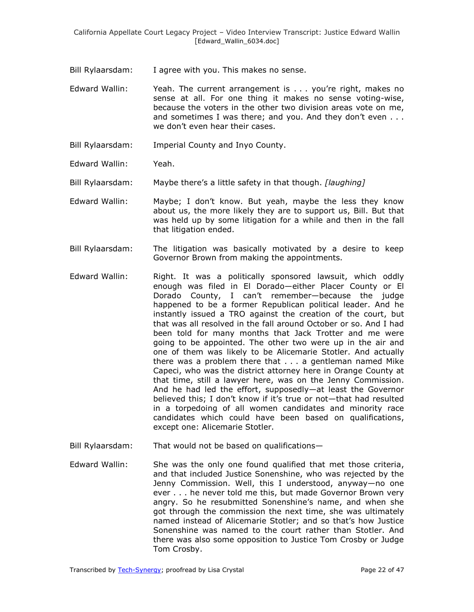Bill Rylaarsdam: I agree with you. This makes no sense.

- Edward Wallin: Yeah. The current arrangement is . . . you're right, makes no sense at all. For one thing it makes no sense voting-wise, because the voters in the other two division areas vote on me, and sometimes I was there; and you. And they don't even . . . we don't even hear their cases.
- Bill Rylaarsdam: Imperial County and Inyo County.
- Edward Wallin: Yeah.
- Bill Rylaarsdam: Maybe there's a little safety in that though. *[laughing]*
- Edward Wallin: Maybe; I don't know. But yeah, maybe the less they know about us, the more likely they are to support us, Bill. But that was held up by some litigation for a while and then in the fall that litigation ended.
- Bill Rylaarsdam: The litigation was basically motivated by a desire to keep Governor Brown from making the appointments.
- Edward Wallin: Right. It was a politically sponsored lawsuit, which oddly enough was filed in El Dorado—either Placer County or El Dorado County, I can't remember—because the judge happened to be a former Republican political leader. And he instantly issued a TRO against the creation of the court, but that was all resolved in the fall around October or so. And I had been told for many months that Jack Trotter and me were going to be appointed. The other two were up in the air and one of them was likely to be Alicemarie Stotler. And actually there was a problem there that . . . a gentleman named Mike Capeci, who was the district attorney here in Orange County at that time, still a lawyer here, was on the Jenny Commission. And he had led the effort, supposedly—at least the Governor believed this; I don't know if it's true or not—that had resulted in a torpedoing of all women candidates and minority race candidates which could have been based on qualifications, except one: Alicemarie Stotler.
- Bill Rylaarsdam: That would not be based on qualifications—
- Edward Wallin: She was the only one found qualified that met those criteria, and that included Justice Sonenshine, who was rejected by the Jenny Commission. Well, this I understood, anyway—no one ever . . . he never told me this, but made Governor Brown very angry. So he resubmitted Sonenshine's name, and when she got through the commission the next time, she was ultimately named instead of Alicemarie Stotler; and so that's how Justice Sonenshine was named to the court rather than Stotler. And there was also some opposition to Justice Tom Crosby or Judge Tom Crosby.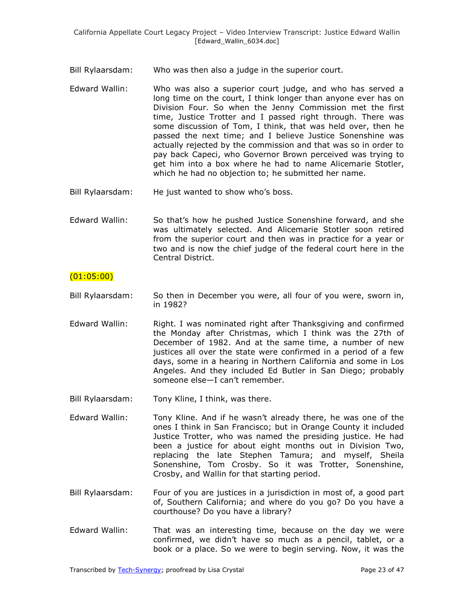- Bill Rylaarsdam: Who was then also a judge in the superior court.
- Edward Wallin: Who was also a superior court judge, and who has served a long time on the court, I think longer than anyone ever has on Division Four. So when the Jenny Commission met the first time, Justice Trotter and I passed right through. There was some discussion of Tom, I think, that was held over, then he passed the next time; and I believe Justice Sonenshine was actually rejected by the commission and that was so in order to pay back Capeci, who Governor Brown perceived was trying to get him into a box where he had to name Alicemarie Stotler, which he had no objection to; he submitted her name.
- Bill Rylaarsdam: He just wanted to show who's boss.
- Edward Wallin: So that's how he pushed Justice Sonenshine forward, and she was ultimately selected. And Alicemarie Stotler soon retired from the superior court and then was in practice for a year or two and is now the chief judge of the federal court here in the Central District.

# $(01:05:00)$

- Bill Rylaarsdam: So then in December you were, all four of you were, sworn in, in 1982?
- Edward Wallin: Right. I was nominated right after Thanksgiving and confirmed the Monday after Christmas, which I think was the 27th of December of 1982. And at the same time, a number of new justices all over the state were confirmed in a period of a few days, some in a hearing in Northern California and some in Los Angeles. And they included Ed Butler in San Diego; probably someone else—I can't remember.
- Bill Rylaarsdam: Tony Kline, I think, was there.
- Edward Wallin: Tony Kline. And if he wasn't already there, he was one of the ones I think in San Francisco; but in Orange County it included Justice Trotter, who was named the presiding justice. He had been a justice for about eight months out in Division Two, replacing the late Stephen Tamura; and myself, Sheila Sonenshine, Tom Crosby. So it was Trotter, Sonenshine, Crosby, and Wallin for that starting period.
- Bill Rylaarsdam: Four of you are justices in a jurisdiction in most of, a good part of, Southern California; and where do you go? Do you have a courthouse? Do you have a library?
- Edward Wallin: That was an interesting time, because on the day we were confirmed, we didn't have so much as a pencil, tablet, or a book or a place. So we were to begin serving. Now, it was the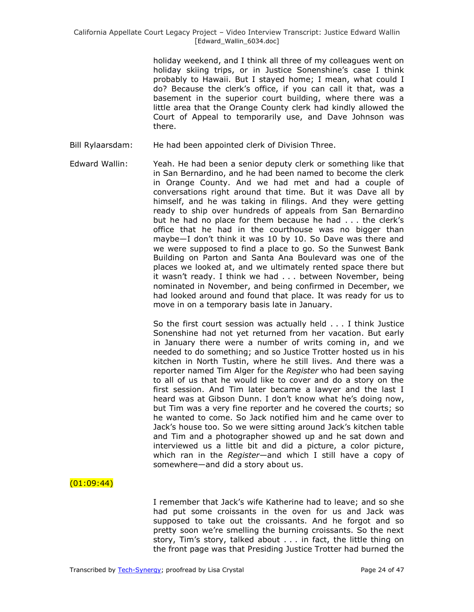holiday weekend, and I think all three of my colleagues went on holiday skiing trips, or in Justice Sonenshine's case I think probably to Hawaii. But I stayed home; I mean, what could I do? Because the clerk's office, if you can call it that, was a basement in the superior court building, where there was a little area that the Orange County clerk had kindly allowed the Court of Appeal to temporarily use, and Dave Johnson was there.

- Bill Rylaarsdam: He had been appointed clerk of Division Three.
- Edward Wallin: Yeah. He had been a senior deputy clerk or something like that in San Bernardino, and he had been named to become the clerk in Orange County. And we had met and had a couple of conversations right around that time. But it was Dave all by himself, and he was taking in filings. And they were getting ready to ship over hundreds of appeals from San Bernardino but he had no place for them because he had . . . the clerk's office that he had in the courthouse was no bigger than maybe—I don't think it was 10 by 10. So Dave was there and we were supposed to find a place to go. So the Sunwest Bank Building on Parton and Santa Ana Boulevard was one of the places we looked at, and we ultimately rented space there but it wasn't ready. I think we had . . . between November, being nominated in November, and being confirmed in December, we had looked around and found that place. It was ready for us to move in on a temporary basis late in January.

So the first court session was actually held . . . I think Justice Sonenshine had not yet returned from her vacation. But early in January there were a number of writs coming in, and we needed to do something; and so Justice Trotter hosted us in his kitchen in North Tustin, where he still lives. And there was a reporter named Tim Alger for the *Register* who had been saying to all of us that he would like to cover and do a story on the first session. And Tim later became a lawyer and the last I heard was at Gibson Dunn. I don't know what he's doing now, but Tim was a very fine reporter and he covered the courts; so he wanted to come. So Jack notified him and he came over to Jack's house too. So we were sitting around Jack's kitchen table and Tim and a photographer showed up and he sat down and interviewed us a little bit and did a picture, a color picture, which ran in the *Register*—and which I still have a copy of somewhere—and did a story about us.

 $(01:09:44)$ 

I remember that Jack's wife Katherine had to leave; and so she had put some croissants in the oven for us and Jack was supposed to take out the croissants. And he forgot and so pretty soon we're smelling the burning croissants. So the next story, Tim's story, talked about . . . in fact, the little thing on the front page was that Presiding Justice Trotter had burned the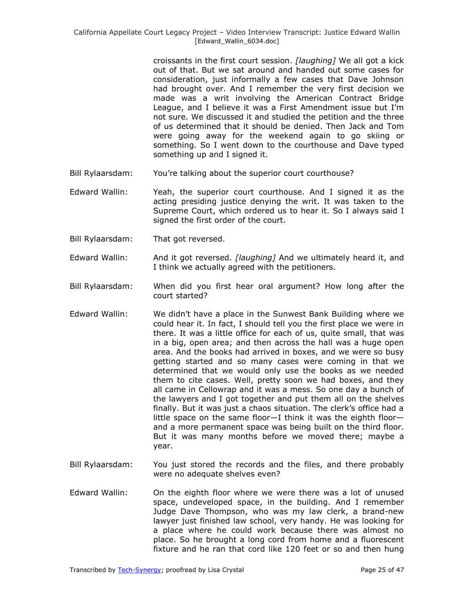croissants in the first court session. *[laughing]* We all got a kick out of that. But we sat around and handed out some cases for consideration, just informally a few cases that Dave Johnson had brought over. And I remember the very first decision we made was a writ involving the American Contract Bridge League, and I believe it was a First Amendment issue but I'm not sure. We discussed it and studied the petition and the three of us determined that it should be denied. Then Jack and Tom were going away for the weekend again to go skiing or something. So I went down to the courthouse and Dave typed something up and I signed it.

- Bill Rylaarsdam: You're talking about the superior court courthouse?
- Edward Wallin: Yeah, the superior court courthouse. And I signed it as the acting presiding justice denying the writ. It was taken to the Supreme Court, which ordered us to hear it. So I always said I signed the first order of the court.
- Bill Rylaarsdam: That got reversed.
- Edward Wallin: And it got reversed. *[laughing]* And we ultimately heard it, and I think we actually agreed with the petitioners.
- Bill Rylaarsdam: When did you first hear oral argument? How long after the court started?
- Edward Wallin: We didn't have a place in the Sunwest Bank Building where we could hear it. In fact, I should tell you the first place we were in there. It was a little office for each of us, quite small, that was in a big, open area; and then across the hall was a huge open area. And the books had arrived in boxes, and we were so busy getting started and so many cases were coming in that we determined that we would only use the books as we needed them to cite cases. Well, pretty soon we had boxes, and they all came in Cellowrap and it was a mess. So one day a bunch of the lawyers and I got together and put them all on the shelves finally. But it was just a chaos situation. The clerk's office had a little space on the same floor—I think it was the eighth floor and a more permanent space was being built on the third floor. But it was many months before we moved there; maybe a year.
- Bill Rylaarsdam: You just stored the records and the files, and there probably were no adequate shelves even?
- Edward Wallin: On the eighth floor where we were there was a lot of unused space, undeveloped space, in the building. And I remember Judge Dave Thompson, who was my law clerk, a brand-new lawyer just finished law school, very handy. He was looking for a place where he could work because there was almost no place. So he brought a long cord from home and a fluorescent fixture and he ran that cord like 120 feet or so and then hung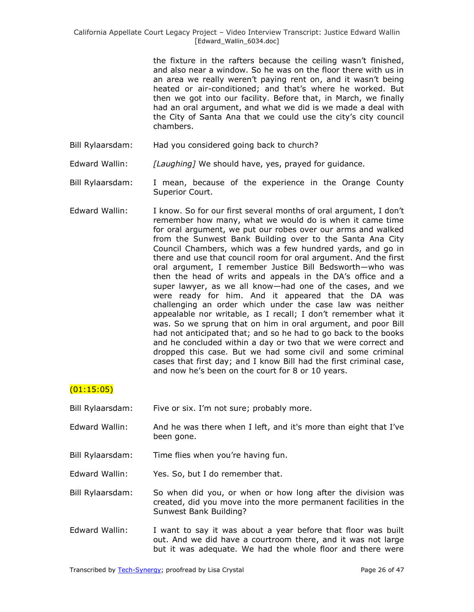> the fixture in the rafters because the ceiling wasn't finished, and also near a window. So he was on the floor there with us in an area we really weren't paying rent on, and it wasn't being heated or air-conditioned; and that's where he worked. But then we got into our facility. Before that, in March, we finally had an oral argument, and what we did is we made a deal with the City of Santa Ana that we could use the city's city council chambers.

- Bill Rylaarsdam: Had you considered going back to church?
- Edward Wallin: *[Laughing]* We should have, yes, prayed for guidance.
- Bill Rylaarsdam: I mean, because of the experience in the Orange County Superior Court.
- Edward Wallin: I know. So for our first several months of oral argument, I don't remember how many, what we would do is when it came time for oral argument, we put our robes over our arms and walked from the Sunwest Bank Building over to the Santa Ana City Council Chambers, which was a few hundred yards, and go in there and use that council room for oral argument. And the first oral argument, I remember Justice Bill Bedsworth—who was then the head of writs and appeals in the DA's office and a super lawyer, as we all know—had one of the cases, and we were ready for him. And it appeared that the DA was challenging an order which under the case law was neither appealable nor writable, as I recall; I don't remember what it was. So we sprung that on him in oral argument, and poor Bill had not anticipated that; and so he had to go back to the books and he concluded within a day or two that we were correct and dropped this case. But we had some civil and some criminal cases that first day; and I know Bill had the first criminal case, and now he's been on the court for 8 or 10 years.

#### (01:15:05)

- Bill Rylaarsdam: Five or six. I'm not sure; probably more.
- Edward Wallin: And he was there when I left, and it's more than eight that I've been gone.
- Bill Rylaarsdam: Time flies when you're having fun.
- Edward Wallin: Yes. So, but I do remember that.
- Bill Rylaarsdam: So when did you, or when or how long after the division was created, did you move into the more permanent facilities in the Sunwest Bank Building?
- Edward Wallin: I want to say it was about a year before that floor was built out. And we did have a courtroom there, and it was not large but it was adequate. We had the whole floor and there were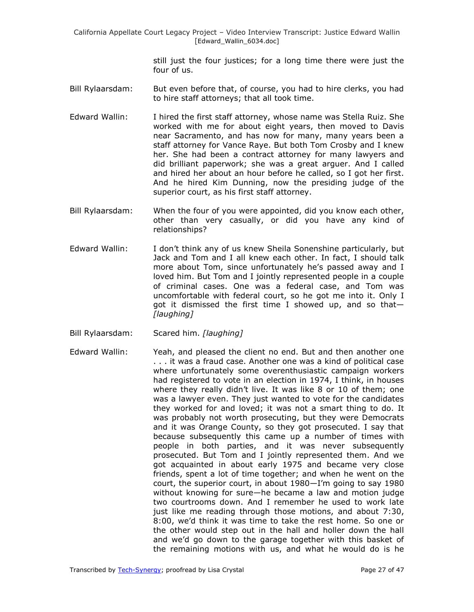> still just the four justices; for a long time there were just the four of us.

- Bill Rylaarsdam: But even before that, of course, you had to hire clerks, you had to hire staff attorneys; that all took time.
- Edward Wallin: I hired the first staff attorney, whose name was Stella Ruiz. She worked with me for about eight years, then moved to Davis near Sacramento, and has now for many, many years been a staff attorney for Vance Raye. But both Tom Crosby and I knew her. She had been a contract attorney for many lawyers and did brilliant paperwork; she was a great arguer. And I called and hired her about an hour before he called, so I got her first. And he hired Kim Dunning, now the presiding judge of the superior court, as his first staff attorney.
- Bill Rylaarsdam: When the four of you were appointed, did you know each other, other than very casually, or did you have any kind of relationships?
- Edward Wallin: I don't think any of us knew Sheila Sonenshine particularly, but Jack and Tom and I all knew each other. In fact, I should talk more about Tom, since unfortunately he's passed away and I loved him. But Tom and I jointly represented people in a couple of criminal cases. One was a federal case, and Tom was uncomfortable with federal court, so he got me into it. Only I got it dismissed the first time I showed up, and so that— *[laughing]*
- Bill Rylaarsdam: Scared him. *[laughing]*
- Edward Wallin: Yeah, and pleased the client no end. But and then another one . . . it was a fraud case. Another one was a kind of political case where unfortunately some overenthusiastic campaign workers had registered to vote in an election in 1974, I think, in houses where they really didn't live. It was like 8 or 10 of them; one was a lawyer even. They just wanted to vote for the candidates they worked for and loved; it was not a smart thing to do. It was probably not worth prosecuting, but they were Democrats and it was Orange County, so they got prosecuted. I say that because subsequently this came up a number of times with people in both parties, and it was never subsequently prosecuted. But Tom and I jointly represented them. And we got acquainted in about early 1975 and became very close friends, spent a lot of time together; and when he went on the court, the superior court, in about 1980—I'm going to say 1980 without knowing for sure—he became a law and motion judge two courtrooms down. And I remember he used to work late just like me reading through those motions, and about 7:30, 8:00, we'd think it was time to take the rest home. So one or the other would step out in the hall and holler down the hall and we'd go down to the garage together with this basket of the remaining motions with us, and what he would do is he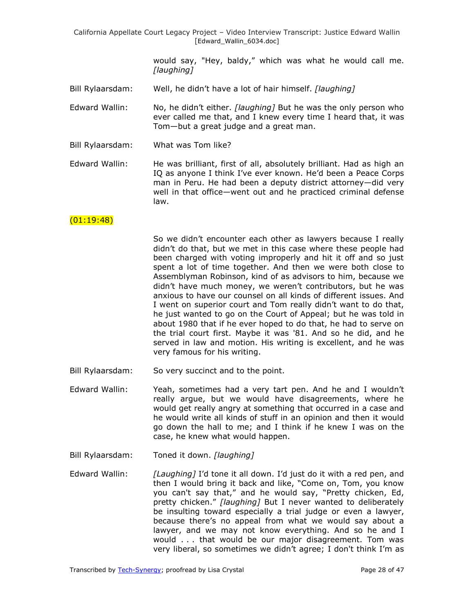> would say, "Hey, baldy," which was what he would call me. *[laughing]*

- Bill Rylaarsdam: Well, he didn't have a lot of hair himself. *[laughing]*
- Edward Wallin: No, he didn't either. *[laughing]* But he was the only person who ever called me that, and I knew every time I heard that, it was Tom—but a great judge and a great man.
- Bill Rylaarsdam: What was Tom like?
- Edward Wallin: He was brilliant, first of all, absolutely brilliant. Had as high an IQ as anyone I think I've ever known. He'd been a Peace Corps man in Peru. He had been a deputy district attorney—did very well in that office—went out and he practiced criminal defense law.

#### (01:19:48)

- So we didn't encounter each other as lawyers because I really didn't do that, but we met in this case where these people had been charged with voting improperly and hit it off and so just spent a lot of time together. And then we were both close to Assemblyman Robinson, kind of as advisors to him, because we didn't have much money, we weren't contributors, but he was anxious to have our counsel on all kinds of different issues. And I went on superior court and Tom really didn't want to do that, he just wanted to go on the Court of Appeal; but he was told in about 1980 that if he ever hoped to do that, he had to serve on the trial court first. Maybe it was '81. And so he did, and he served in law and motion. His writing is excellent, and he was very famous for his writing.
- Bill Rylaarsdam: So very succinct and to the point.
- Edward Wallin: Yeah, sometimes had a very tart pen. And he and I wouldn't really argue, but we would have disagreements, where he would get really angry at something that occurred in a case and he would write all kinds of stuff in an opinion and then it would go down the hall to me; and I think if he knew I was on the case, he knew what would happen.
- Bill Rylaarsdam: Toned it down. *[laughing]*
- Edward Wallin: *[Laughing]* I'd tone it all down. I'd just do it with a red pen, and then I would bring it back and like, "Come on, Tom, you know you can't say that," and he would say, "Pretty chicken, Ed, pretty chicken.‖ *[laughing]* But I never wanted to deliberately be insulting toward especially a trial judge or even a lawyer, because there's no appeal from what we would say about a lawyer, and we may not know everything. And so he and I would . . . that would be our major disagreement. Tom was very liberal, so sometimes we didn't agree; I don't think I'm as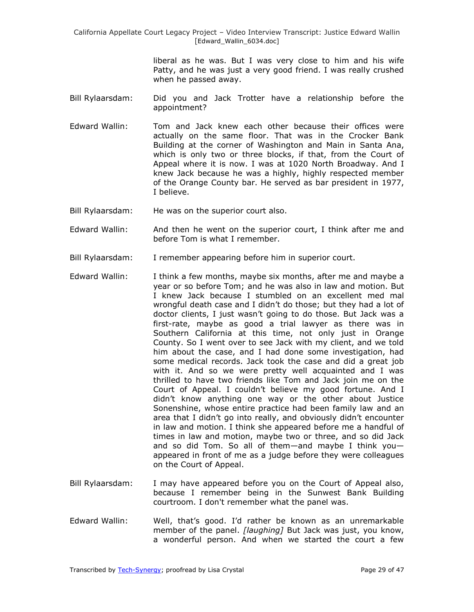> liberal as he was. But I was very close to him and his wife Patty, and he was just a very good friend. I was really crushed when he passed away.

- Bill Rylaarsdam: Did you and Jack Trotter have a relationship before the appointment?
- Edward Wallin: Tom and Jack knew each other because their offices were actually on the same floor. That was in the Crocker Bank Building at the corner of Washington and Main in Santa Ana, which is only two or three blocks, if that, from the Court of Appeal where it is now. I was at 1020 North Broadway. And I knew Jack because he was a highly, highly respected member of the Orange County bar. He served as bar president in 1977, I believe.
- Bill Rylaarsdam: He was on the superior court also.
- Edward Wallin: And then he went on the superior court, I think after me and before Tom is what I remember.
- Bill Rylaarsdam: I remember appearing before him in superior court.
- Edward Wallin: I think a few months, maybe six months, after me and maybe a year or so before Tom; and he was also in law and motion. But I knew Jack because I stumbled on an excellent med mal wrongful death case and I didn't do those; but they had a lot of doctor clients, I just wasn't going to do those. But Jack was a first-rate, maybe as good a trial lawyer as there was in Southern California at this time, not only just in Orange County. So I went over to see Jack with my client, and we told him about the case, and I had done some investigation, had some medical records. Jack took the case and did a great job with it. And so we were pretty well acquainted and I was thrilled to have two friends like Tom and Jack join me on the Court of Appeal. I couldn't believe my good fortune. And I didn't know anything one way or the other about Justice Sonenshine, whose entire practice had been family law and an area that I didn't go into really, and obviously didn't encounter in law and motion. I think she appeared before me a handful of times in law and motion, maybe two or three, and so did Jack and so did Tom. So all of them—and maybe I think you appeared in front of me as a judge before they were colleagues on the Court of Appeal.
- Bill Rylaarsdam: I may have appeared before you on the Court of Appeal also, because I remember being in the Sunwest Bank Building courtroom. I don't remember what the panel was.
- Edward Wallin: Well, that's good. I'd rather be known as an unremarkable member of the panel. *[laughing]* But Jack was just, you know, a wonderful person. And when we started the court a few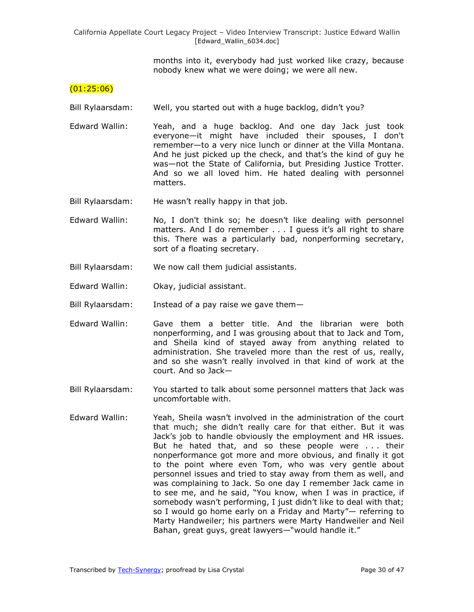months into it, everybody had just worked like crazy, because nobody knew what we were doing; we were all new.

### $(01:25:06)$

- Bill Rylaarsdam: Well, you started out with a huge backlog, didn't you?
- Edward Wallin: Yeah, and a huge backlog. And one day Jack just took everyone—it might have included their spouses, I don't remember—to a very nice lunch or dinner at the Villa Montana. And he just picked up the check, and that's the kind of guy he was—not the State of California, but Presiding Justice Trotter. And so we all loved him. He hated dealing with personnel matters.
- Bill Rylaarsdam: He wasn't really happy in that job.
- Edward Wallin: No, I don't think so; he doesn't like dealing with personnel matters. And I do remember . . . I guess it's all right to share this. There was a particularly bad, nonperforming secretary, sort of a floating secretary.
- Bill Rylaarsdam: We now call them judicial assistants.
- Edward Wallin: Okay, judicial assistant.
- Bill Rylaarsdam: Instead of a pay raise we gave them—
- Edward Wallin: Gave them a better title. And the librarian were both nonperforming, and I was grousing about that to Jack and Tom, and Sheila kind of stayed away from anything related to administration. She traveled more than the rest of us, really, and so she wasn't really involved in that kind of work at the court. And so Jack—
- Bill Rylaarsdam: You started to talk about some personnel matters that Jack was uncomfortable with.
- Edward Wallin: Yeah, Sheila wasn't involved in the administration of the court that much; she didn't really care for that either. But it was Jack's job to handle obviously the employment and HR issues. But he hated that, and so these people were . . . their nonperformance got more and more obvious, and finally it got to the point where even Tom, who was very gentle about personnel issues and tried to stay away from them as well, and was complaining to Jack. So one day I remember Jack came in to see me, and he said, "You know, when I was in practice, if somebody wasn't performing, I just didn't like to deal with that; so I would go home early on a Friday and Marty"— referring to Marty Handweiler; his partners were Marty Handweiler and Neil Bahan, great guys, great lawyers—"would handle it."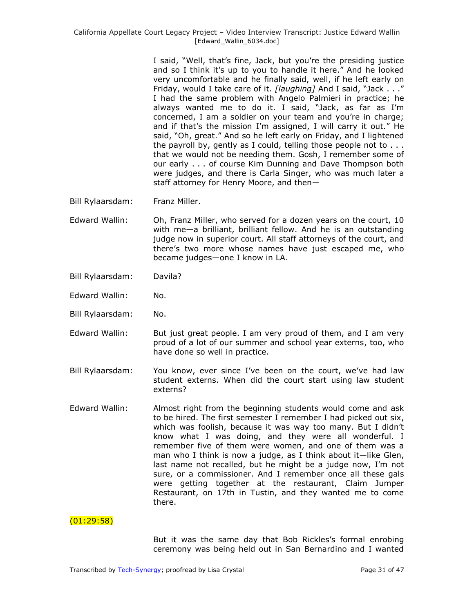I said, "Well, that's fine, Jack, but you're the presiding justice and so I think it's up to you to handle it here." And he looked very uncomfortable and he finally said, well, if he left early on Friday, would I take care of it. *[laughing]* And I said, "Jack . . ." I had the same problem with Angelo Palmieri in practice; he always wanted me to do it. I said, "Jack, as far as I'm concerned, I am a soldier on your team and you're in charge; and if that's the mission I'm assigned, I will carry it out." He said, "Oh, great." And so he left early on Friday, and I lightened the payroll by, gently as I could, telling those people not to  $\dots$ that we would not be needing them. Gosh, I remember some of our early . . . of course Kim Dunning and Dave Thompson both were judges, and there is Carla Singer, who was much later a staff attorney for Henry Moore, and then—

- Bill Rylaarsdam: Franz Miller.
- Edward Wallin: Oh, Franz Miller, who served for a dozen years on the court, 10 with me—a brilliant, brilliant fellow. And he is an outstanding judge now in superior court. All staff attorneys of the court, and there's two more whose names have just escaped me, who became judges—one I know in LA.
- Bill Rylaarsdam: Davila?
- Edward Wallin: No.
- Bill Rylaarsdam: No.
- Edward Wallin: But just great people. I am very proud of them, and I am very proud of a lot of our summer and school year externs, too, who have done so well in practice.
- Bill Rylaarsdam: You know, ever since I've been on the court, we've had law student externs. When did the court start using law student externs?
- Edward Wallin: Almost right from the beginning students would come and ask to be hired. The first semester I remember I had picked out six, which was foolish, because it was way too many. But I didn't know what I was doing, and they were all wonderful. I remember five of them were women, and one of them was a man who I think is now a judge, as I think about it—like Glen, last name not recalled, but he might be a judge now, I'm not sure, or a commissioner. And I remember once all these gals were getting together at the restaurant, Claim Jumper Restaurant, on 17th in Tustin, and they wanted me to come there.

 $(01:29:58)$ 

But it was the same day that Bob Rickles's formal enrobing ceremony was being held out in San Bernardino and I wanted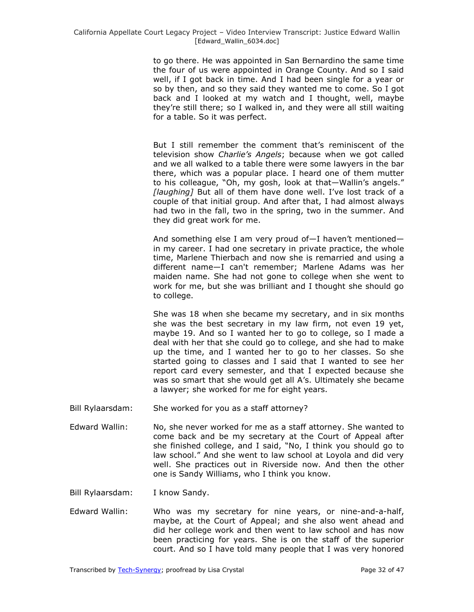to go there. He was appointed in San Bernardino the same time the four of us were appointed in Orange County. And so I said well, if I got back in time. And I had been single for a year or so by then, and so they said they wanted me to come. So I got back and I looked at my watch and I thought, well, maybe they're still there; so I walked in, and they were all still waiting for a table. So it was perfect.

But I still remember the comment that's reminiscent of the television show *Charlie's Angels*; because when we got called and we all walked to a table there were some lawyers in the bar there, which was a popular place. I heard one of them mutter to his colleague, "Oh, my gosh, look at that-Wallin's angels." *[laughing]* But all of them have done well. I've lost track of a couple of that initial group. And after that, I had almost always had two in the fall, two in the spring, two in the summer. And they did great work for me.

And something else I am very proud of—I haven't mentioned in my career. I had one secretary in private practice, the whole time, Marlene Thierbach and now she is remarried and using a different name—I can't remember; Marlene Adams was her maiden name. She had not gone to college when she went to work for me, but she was brilliant and I thought she should go to college.

She was 18 when she became my secretary, and in six months she was the best secretary in my law firm, not even 19 yet, maybe 19. And so I wanted her to go to college, so I made a deal with her that she could go to college, and she had to make up the time, and I wanted her to go to her classes. So she started going to classes and I said that I wanted to see her report card every semester, and that I expected because she was so smart that she would get all A's. Ultimately she became a lawyer; she worked for me for eight years.

- Bill Rylaarsdam: She worked for you as a staff attorney?
- Edward Wallin: No, she never worked for me as a staff attorney. She wanted to come back and be my secretary at the Court of Appeal after she finished college, and I said, "No, I think you should go to law school." And she went to law school at Loyola and did very well. She practices out in Riverside now. And then the other one is Sandy Williams, who I think you know.
- Bill Rylaarsdam: I know Sandy.
- Edward Wallin: Who was my secretary for nine years, or nine-and-a-half, maybe, at the Court of Appeal; and she also went ahead and did her college work and then went to law school and has now been practicing for years. She is on the staff of the superior court. And so I have told many people that I was very honored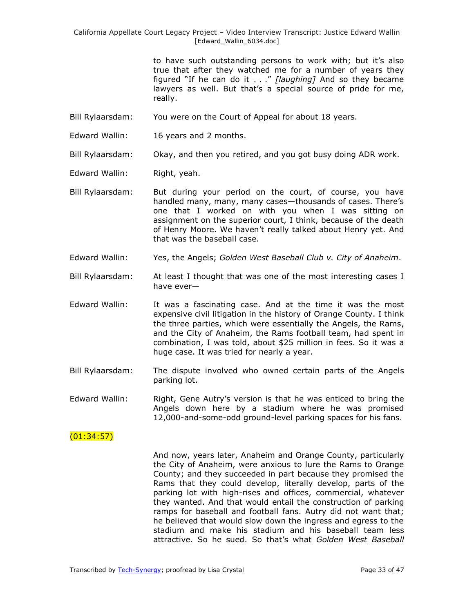> to have such outstanding persons to work with; but it's also true that after they watched me for a number of years they figured "If he can do it . . ." [laughing] And so they became lawyers as well. But that's a special source of pride for me, really.

Bill Rylaarsdam: You were on the Court of Appeal for about 18 years.

Edward Wallin: 16 years and 2 months.

Bill Rylaarsdam: Okay, and then you retired, and you got busy doing ADR work.

Edward Wallin: Right, yeah.

- Bill Rylaarsdam: But during your period on the court, of course, you have handled many, many, many cases—thousands of cases. There's one that I worked on with you when I was sitting on assignment on the superior court, I think, because of the death of Henry Moore. We haven't really talked about Henry yet. And that was the baseball case.
- Edward Wallin: Yes, the Angels; *Golden West Baseball Club v. City of Anaheim*.
- Bill Rylaarsdam: At least I thought that was one of the most interesting cases I have ever—
- Edward Wallin: It was a fascinating case. And at the time it was the most expensive civil litigation in the history of Orange County. I think the three parties, which were essentially the Angels, the Rams, and the City of Anaheim, the Rams football team, had spent in combination, I was told, about \$25 million in fees. So it was a huge case. It was tried for nearly a year.
- Bill Rylaarsdam: The dispute involved who owned certain parts of the Angels parking lot.
- Edward Wallin: Right, Gene Autry's version is that he was enticed to bring the Angels down here by a stadium where he was promised 12,000-and-some-odd ground-level parking spaces for his fans.

### $(01:34:57)$

And now, years later, Anaheim and Orange County, particularly the City of Anaheim, were anxious to lure the Rams to Orange County; and they succeeded in part because they promised the Rams that they could develop, literally develop, parts of the parking lot with high-rises and offices, commercial, whatever they wanted. And that would entail the construction of parking ramps for baseball and football fans. Autry did not want that; he believed that would slow down the ingress and egress to the stadium and make his stadium and his baseball team less attractive. So he sued. So that's what *Golden West Baseball*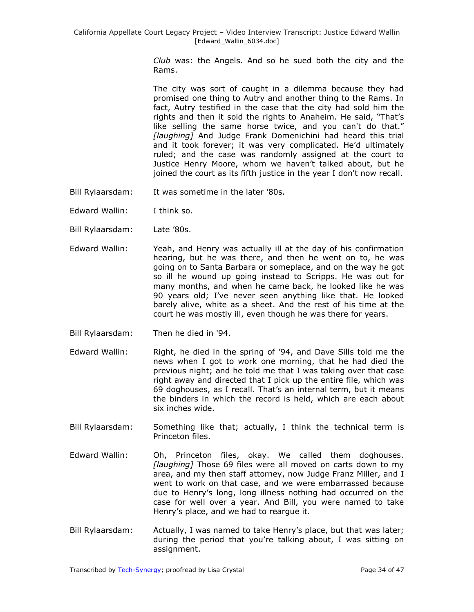*Club* was: the Angels. And so he sued both the city and the Rams.

The city was sort of caught in a dilemma because they had promised one thing to Autry and another thing to the Rams. In fact, Autry testified in the case that the city had sold him the rights and then it sold the rights to Anaheim. He said, "That's like selling the same horse twice, and you can't do that." *[laughing]* And Judge Frank Domenichini had heard this trial and it took forever; it was very complicated. He'd ultimately ruled; and the case was randomly assigned at the court to Justice Henry Moore, whom we haven't talked about, but he joined the court as its fifth justice in the year I don't now recall.

- Bill Rylaarsdam: It was sometime in the later '80s.
- Edward Wallin: I think so.
- Bill Rylaarsdam: Late '80s.
- Edward Wallin: Yeah, and Henry was actually ill at the day of his confirmation hearing, but he was there, and then he went on to, he was going on to Santa Barbara or someplace, and on the way he got so ill he wound up going instead to Scripps. He was out for many months, and when he came back, he looked like he was 90 years old; I've never seen anything like that. He looked barely alive, white as a sheet. And the rest of his time at the court he was mostly ill, even though he was there for years.
- Bill Rylaarsdam: Then he died in '94.
- Edward Wallin: Right, he died in the spring of '94, and Dave Sills told me the news when I got to work one morning, that he had died the previous night; and he told me that I was taking over that case right away and directed that I pick up the entire file, which was 69 doghouses, as I recall. That's an internal term, but it means the binders in which the record is held, which are each about six inches wide.
- Bill Rylaarsdam: Something like that; actually, I think the technical term is Princeton files.
- Edward Wallin: Oh, Princeton files, okay. We called them doghouses. *[laughing]* Those 69 files were all moved on carts down to my area, and my then staff attorney, now Judge Franz Miller, and I went to work on that case, and we were embarrassed because due to Henry's long, long illness nothing had occurred on the case for well over a year. And Bill, you were named to take Henry's place, and we had to reargue it.
- Bill Rylaarsdam: Actually, I was named to take Henry's place, but that was later; during the period that you're talking about, I was sitting on assignment.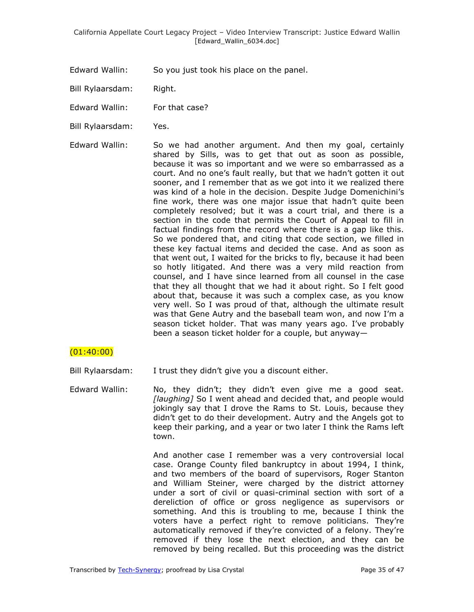- Edward Wallin: So you just took his place on the panel.
- Bill Rylaarsdam: Right.
- Edward Wallin: For that case?
- Bill Rylaarsdam: Yes.

Edward Wallin: So we had another argument. And then my goal, certainly shared by Sills, was to get that out as soon as possible, because it was so important and we were so embarrassed as a court. And no one's fault really, but that we hadn't gotten it out sooner, and I remember that as we got into it we realized there was kind of a hole in the decision. Despite Judge Domenichini's fine work, there was one major issue that hadn't quite been completely resolved; but it was a court trial, and there is a section in the code that permits the Court of Appeal to fill in factual findings from the record where there is a gap like this. So we pondered that, and citing that code section, we filled in these key factual items and decided the case. And as soon as that went out, I waited for the bricks to fly, because it had been so hotly litigated. And there was a very mild reaction from counsel, and I have since learned from all counsel in the case that they all thought that we had it about right. So I felt good about that, because it was such a complex case, as you know very well. So I was proud of that, although the ultimate result was that Gene Autry and the baseball team won, and now I'm a season ticket holder. That was many years ago. I've probably been a season ticket holder for a couple, but anyway—

### $(01:40:00)$

Bill Rylaarsdam: I trust they didn't give you a discount either.

Edward Wallin: No, they didn't; they didn't even give me a good seat. *[laughing]* So I went ahead and decided that, and people would jokingly say that I drove the Rams to St. Louis, because they didn't get to do their development. Autry and the Angels got to keep their parking, and a year or two later I think the Rams left town.

> And another case I remember was a very controversial local case. Orange County filed bankruptcy in about 1994, I think, and two members of the board of supervisors, Roger Stanton and William Steiner, were charged by the district attorney under a sort of civil or quasi-criminal section with sort of a dereliction of office or gross negligence as supervisors or something. And this is troubling to me, because I think the voters have a perfect right to remove politicians. They're automatically removed if they're convicted of a felony. They're removed if they lose the next election, and they can be removed by being recalled. But this proceeding was the district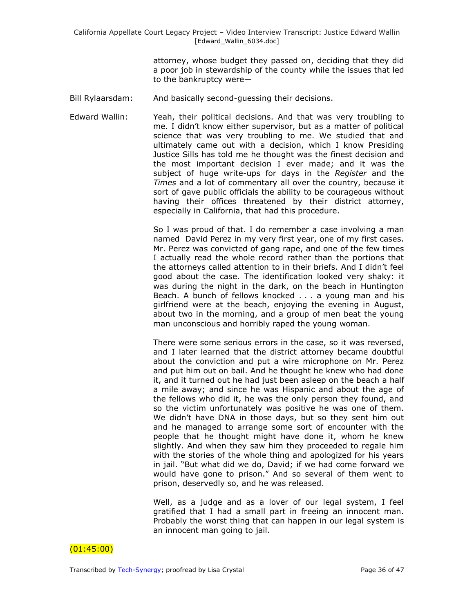attorney, whose budget they passed on, deciding that they did a poor job in stewardship of the county while the issues that led to the bankruptcy were—

- Bill Rylaarsdam: And basically second-guessing their decisions.
- Edward Wallin: Yeah, their political decisions. And that was very troubling to me. I didn't know either supervisor, but as a matter of political science that was very troubling to me. We studied that and ultimately came out with a decision, which I know Presiding Justice Sills has told me he thought was the finest decision and the most important decision I ever made; and it was the subject of huge write-ups for days in the *Register* and the *Times* and a lot of commentary all over the country, because it sort of gave public officials the ability to be courageous without having their offices threatened by their district attorney, especially in California, that had this procedure.

So I was proud of that. I do remember a case involving a man named David Perez in my very first year, one of my first cases. Mr. Perez was convicted of gang rape, and one of the few times I actually read the whole record rather than the portions that the attorneys called attention to in their briefs. And I didn't feel good about the case. The identification looked very shaky: it was during the night in the dark, on the beach in Huntington Beach. A bunch of fellows knocked . . . a young man and his girlfriend were at the beach, enjoying the evening in August, about two in the morning, and a group of men beat the young man unconscious and horribly raped the young woman.

There were some serious errors in the case, so it was reversed, and I later learned that the district attorney became doubtful about the conviction and put a wire microphone on Mr. Perez and put him out on bail. And he thought he knew who had done it, and it turned out he had just been asleep on the beach a half a mile away; and since he was Hispanic and about the age of the fellows who did it, he was the only person they found, and so the victim unfortunately was positive he was one of them. We didn't have DNA in those days, but so they sent him out and he managed to arrange some sort of encounter with the people that he thought might have done it, whom he knew slightly. And when they saw him they proceeded to regale him with the stories of the whole thing and apologized for his years in jail. "But what did we do, David; if we had come forward we would have gone to prison." And so several of them went to prison, deservedly so, and he was released.

Well, as a judge and as a lover of our legal system, I feel gratified that I had a small part in freeing an innocent man. Probably the worst thing that can happen in our legal system is an innocent man going to jail.

# (01:45:00)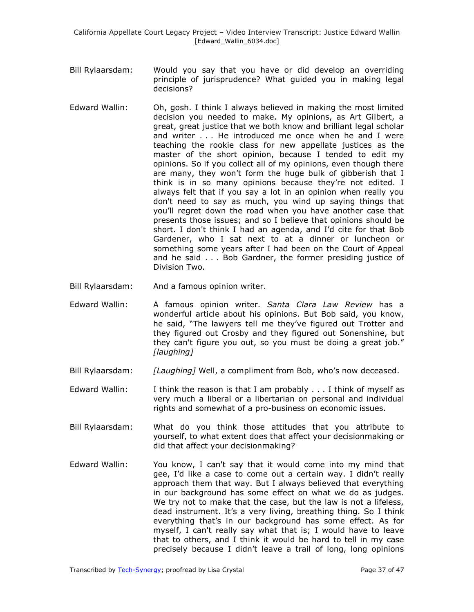- Bill Rylaarsdam: Would you say that you have or did develop an overriding principle of jurisprudence? What guided you in making legal decisions?
- Edward Wallin: Oh, gosh. I think I always believed in making the most limited decision you needed to make. My opinions, as Art Gilbert, a great, great justice that we both know and brilliant legal scholar and writer . . . He introduced me once when he and I were teaching the rookie class for new appellate justices as the master of the short opinion, because I tended to edit my opinions. So if you collect all of my opinions, even though there are many, they won't form the huge bulk of gibberish that I think is in so many opinions because they're not edited. I always felt that if you say a lot in an opinion when really you don't need to say as much, you wind up saying things that you'll regret down the road when you have another case that presents those issues; and so I believe that opinions should be short. I don't think I had an agenda, and I'd cite for that Bob Gardener, who I sat next to at a dinner or luncheon or something some years after I had been on the Court of Appeal and he said . . . Bob Gardner, the former presiding justice of Division Two.
- Bill Rylaarsdam: And a famous opinion writer.
- Edward Wallin: A famous opinion writer. *Santa Clara Law Review* has a wonderful article about his opinions. But Bob said, you know, he said, "The lawyers tell me they've figured out Trotter and they figured out Crosby and they figured out Sonenshine, but they can't figure you out, so you must be doing a great job." *[laughing]*
- Bill Rylaarsdam: *[Laughing]* Well, a compliment from Bob, who's now deceased.
- Edward Wallin: I think the reason is that I am probably  $\ldots$  I think of myself as very much a liberal or a libertarian on personal and individual rights and somewhat of a pro-business on economic issues.
- Bill Rylaarsdam: What do you think those attitudes that you attribute to yourself, to what extent does that affect your decisionmaking or did that affect your decisionmaking?
- Edward Wallin: You know, I can't say that it would come into my mind that gee, I'd like a case to come out a certain way. I didn't really approach them that way. But I always believed that everything in our background has some effect on what we do as judges. We try not to make that the case, but the law is not a lifeless, dead instrument. It's a very living, breathing thing. So I think everything that's in our background has some effect. As for myself, I can't really say what that is; I would have to leave that to others, and I think it would be hard to tell in my case precisely because I didn't leave a trail of long, long opinions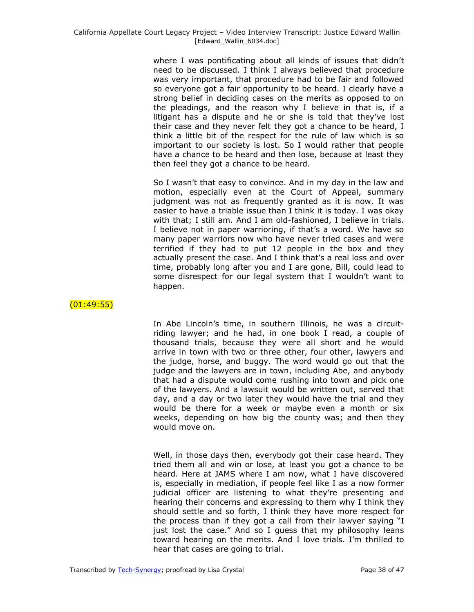where I was pontificating about all kinds of issues that didn't need to be discussed. I think I always believed that procedure was very important, that procedure had to be fair and followed so everyone got a fair opportunity to be heard. I clearly have a strong belief in deciding cases on the merits as opposed to on the pleadings, and the reason why I believe in that is, if a litigant has a dispute and he or she is told that they've lost their case and they never felt they got a chance to be heard, I think a little bit of the respect for the rule of law which is so important to our society is lost. So I would rather that people have a chance to be heard and then lose, because at least they then feel they got a chance to be heard.

So I wasn't that easy to convince. And in my day in the law and motion, especially even at the Court of Appeal, summary judgment was not as frequently granted as it is now. It was easier to have a triable issue than I think it is today. I was okay with that; I still am. And I am old-fashioned, I believe in trials. I believe not in paper warrioring, if that's a word. We have so many paper warriors now who have never tried cases and were terrified if they had to put 12 people in the box and they actually present the case. And I think that's a real loss and over time, probably long after you and I are gone, Bill, could lead to some disrespect for our legal system that I wouldn't want to happen.

## $(01:49:55)$

In Abe Lincoln's time, in southern Illinois, he was a circuitriding lawyer; and he had, in one book I read, a couple of thousand trials, because they were all short and he would arrive in town with two or three other, four other, lawyers and the judge, horse, and buggy. The word would go out that the judge and the lawyers are in town, including Abe, and anybody that had a dispute would come rushing into town and pick one of the lawyers. And a lawsuit would be written out, served that day, and a day or two later they would have the trial and they would be there for a week or maybe even a month or six weeks, depending on how big the county was; and then they would move on.

Well, in those days then, everybody got their case heard. They tried them all and win or lose, at least you got a chance to be heard. Here at JAMS where I am now, what I have discovered is, especially in mediation, if people feel like I as a now former judicial officer are listening to what they're presenting and hearing their concerns and expressing to them why I think they should settle and so forth, I think they have more respect for the process than if they got a call from their lawyer saying "I just lost the case." And so I guess that my philosophy leans toward hearing on the merits. And I love trials. I'm thrilled to hear that cases are going to trial.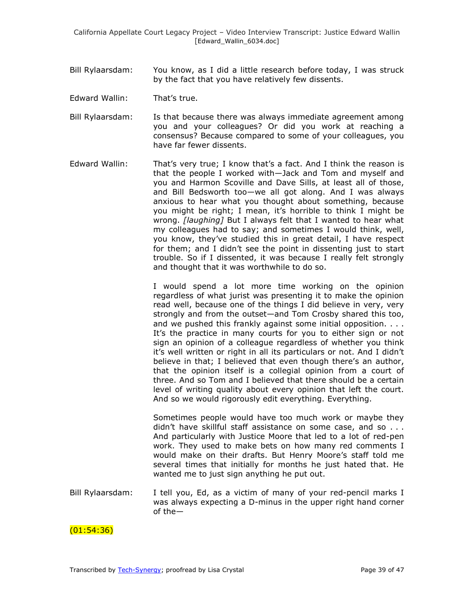- Bill Rylaarsdam: You know, as I did a little research before today, I was struck by the fact that you have relatively few dissents.
- Edward Wallin: That's true.
- Bill Rylaarsdam: Is that because there was always immediate agreement among you and your colleagues? Or did you work at reaching a consensus? Because compared to some of your colleagues, you have far fewer dissents.
- Edward Wallin: That's very true; I know that's a fact. And I think the reason is that the people I worked with—Jack and Tom and myself and you and Harmon Scoville and Dave Sills, at least all of those, and Bill Bedsworth too—we all got along. And I was always anxious to hear what you thought about something, because you might be right; I mean, it's horrible to think I might be wrong. *[laughing]* But I always felt that I wanted to hear what my colleagues had to say; and sometimes I would think, well, you know, they've studied this in great detail, I have respect for them; and I didn't see the point in dissenting just to start trouble. So if I dissented, it was because I really felt strongly and thought that it was worthwhile to do so.

I would spend a lot more time working on the opinion regardless of what jurist was presenting it to make the opinion read well, because one of the things I did believe in very, very strongly and from the outset—and Tom Crosby shared this too, and we pushed this frankly against some initial opposition. . . . It's the practice in many courts for you to either sign or not sign an opinion of a colleague regardless of whether you think it's well written or right in all its particulars or not. And I didn't believe in that; I believed that even though there's an author, that the opinion itself is a collegial opinion from a court of three. And so Tom and I believed that there should be a certain level of writing quality about every opinion that left the court. And so we would rigorously edit everything. Everything.

Sometimes people would have too much work or maybe they didn't have skillful staff assistance on some case, and so . . . And particularly with Justice Moore that led to a lot of red-pen work. They used to make bets on how many red comments I would make on their drafts. But Henry Moore's staff told me several times that initially for months he just hated that. He wanted me to just sign anything he put out.

Bill Rylaarsdam: I tell you, Ed, as a victim of many of your red-pencil marks I was always expecting a D-minus in the upper right hand corner of the—

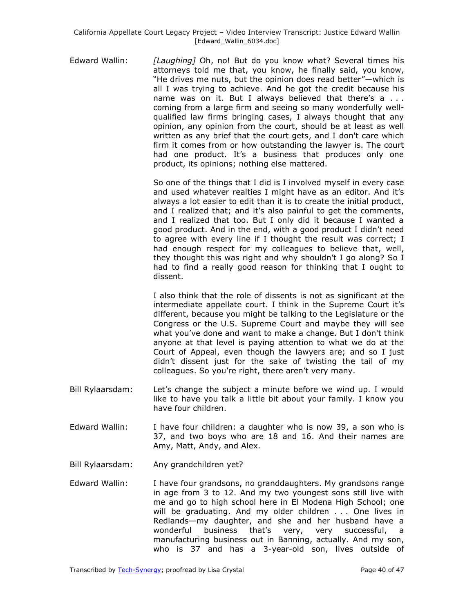Edward Wallin: *[Laughing]* Oh, no! But do you know what? Several times his attorneys told me that, you know, he finally said, you know, "He drives me nuts, but the opinion does read better"—which is all I was trying to achieve. And he got the credit because his name was on it. But I always believed that there's a ... coming from a large firm and seeing so many wonderfully wellqualified law firms bringing cases, I always thought that any opinion, any opinion from the court, should be at least as well written as any brief that the court gets, and I don't care which firm it comes from or how outstanding the lawyer is. The court had one product. It's a business that produces only one product, its opinions; nothing else mattered.

> So one of the things that I did is I involved myself in every case and used whatever realties I might have as an editor. And it's always a lot easier to edit than it is to create the initial product, and I realized that; and it's also painful to get the comments, and I realized that too. But I only did it because I wanted a good product. And in the end, with a good product I didn't need to agree with every line if I thought the result was correct; I had enough respect for my colleagues to believe that, well, they thought this was right and why shouldn't I go along? So I had to find a really good reason for thinking that I ought to dissent.

> I also think that the role of dissents is not as significant at the intermediate appellate court. I think in the Supreme Court it's different, because you might be talking to the Legislature or the Congress or the U.S. Supreme Court and maybe they will see what you've done and want to make a change. But I don't think anyone at that level is paying attention to what we do at the Court of Appeal, even though the lawyers are; and so I just didn't dissent just for the sake of twisting the tail of my colleagues. So you're right, there aren't very many.

- Bill Rylaarsdam: Let's change the subject a minute before we wind up. I would like to have you talk a little bit about your family. I know you have four children.
- Edward Wallin: I have four children: a daughter who is now 39, a son who is 37, and two boys who are 18 and 16. And their names are Amy, Matt, Andy, and Alex.
- Bill Rylaarsdam: Any grandchildren yet?
- Edward Wallin: I have four grandsons, no granddaughters. My grandsons range in age from 3 to 12. And my two youngest sons still live with me and go to high school here in El Modena High School; one will be graduating. And my older children . . . One lives in Redlands—my daughter, and she and her husband have a wonderful business that's very, very successful, a manufacturing business out in Banning, actually. And my son, who is 37 and has a 3-year-old son, lives outside of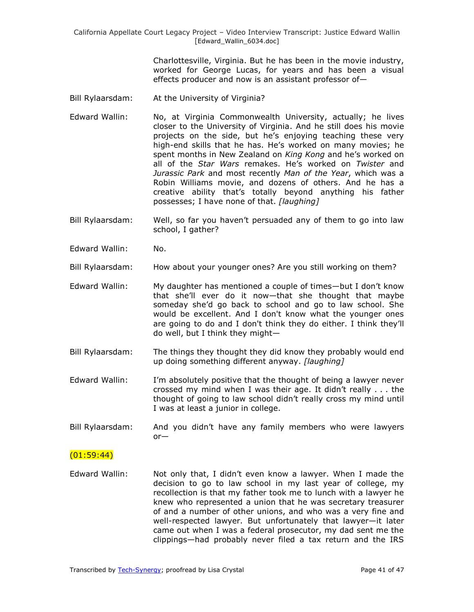Charlottesville, Virginia. But he has been in the movie industry, worked for George Lucas, for years and has been a visual effects producer and now is an assistant professor of—

- Bill Rylaarsdam: At the University of Virginia?
- Edward Wallin: No, at Virginia Commonwealth University, actually; he lives closer to the University of Virginia. And he still does his movie projects on the side, but he's enjoying teaching these very high-end skills that he has. He's worked on many movies; he spent months in New Zealand on *King Kong* and he's worked on all of the *Star Wars* remakes. He's worked on *Twister* and *Jurassic Park* and most recently *Man of the Year*, which was a Robin Williams movie, and dozens of others. And he has a creative ability that's totally beyond anything his father possesses; I have none of that. *[laughing]*
- Bill Rylaarsdam: Well, so far you haven't persuaded any of them to go into law school, I gather?
- Edward Wallin: No.
- Bill Rylaarsdam: How about your younger ones? Are you still working on them?
- Edward Wallin: My daughter has mentioned a couple of times—but I don't know that she'll ever do it now—that she thought that maybe someday she'd go back to school and go to law school. She would be excellent. And I don't know what the younger ones are going to do and I don't think they do either. I think they'll do well, but I think they might—
- Bill Rylaarsdam: The things they thought they did know they probably would end up doing something different anyway. *[laughing]*
- Edward Wallin: I'm absolutely positive that the thought of being a lawyer never crossed my mind when I was their age. It didn't really . . . the thought of going to law school didn't really cross my mind until I was at least a junior in college.
- Bill Rylaarsdam: And you didn't have any family members who were lawyers or—

### $(01:59:44)$

Edward Wallin: Not only that, I didn't even know a lawyer. When I made the decision to go to law school in my last year of college, my recollection is that my father took me to lunch with a lawyer he knew who represented a union that he was secretary treasurer of and a number of other unions, and who was a very fine and well-respected lawyer. But unfortunately that lawyer—it later came out when I was a federal prosecutor, my dad sent me the clippings—had probably never filed a tax return and the IRS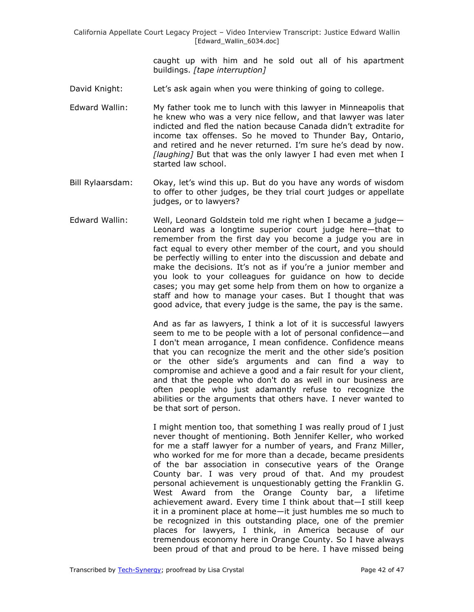> caught up with him and he sold out all of his apartment buildings. *[tape interruption]*

- David Knight: Let's ask again when you were thinking of going to college.
- Edward Wallin: My father took me to lunch with this lawyer in Minneapolis that he knew who was a very nice fellow, and that lawyer was later indicted and fled the nation because Canada didn't extradite for income tax offenses. So he moved to Thunder Bay, Ontario, and retired and he never returned. I'm sure he's dead by now. *[laughing]* But that was the only lawyer I had even met when I started law school.
- Bill Rylaarsdam: Okay, let's wind this up. But do you have any words of wisdom to offer to other judges, be they trial court judges or appellate judges, or to lawyers?
- Edward Wallin: Well, Leonard Goldstein told me right when I became a judge— Leonard was a longtime superior court judge here—that to remember from the first day you become a judge you are in fact equal to every other member of the court, and you should be perfectly willing to enter into the discussion and debate and make the decisions. It's not as if you're a junior member and you look to your colleagues for guidance on how to decide cases; you may get some help from them on how to organize a staff and how to manage your cases. But I thought that was good advice, that every judge is the same, the pay is the same.

And as far as lawyers, I think a lot of it is successful lawyers seem to me to be people with a lot of personal confidence—and I don't mean arrogance, I mean confidence. Confidence means that you can recognize the merit and the other side's position or the other side's arguments and can find a way to compromise and achieve a good and a fair result for your client, and that the people who don't do as well in our business are often people who just adamantly refuse to recognize the abilities or the arguments that others have. I never wanted to be that sort of person.

I might mention too, that something I was really proud of I just never thought of mentioning. Both Jennifer Keller, who worked for me a staff lawyer for a number of years, and Franz Miller, who worked for me for more than a decade, became presidents of the bar association in consecutive years of the Orange County bar. I was very proud of that. And my proudest personal achievement is unquestionably getting the Franklin G. West Award from the Orange County bar, a lifetime achievement award. Every time I think about that—I still keep it in a prominent place at home—it just humbles me so much to be recognized in this outstanding place, one of the premier places for lawyers, I think, in America because of our tremendous economy here in Orange County. So I have always been proud of that and proud to be here. I have missed being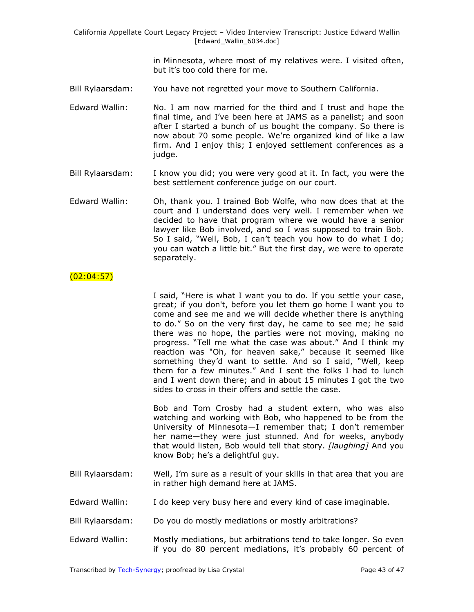> in Minnesota, where most of my relatives were. I visited often, but it's too cold there for me.

- Bill Rylaarsdam: You have not regretted your move to Southern California.
- Edward Wallin: No. I am now married for the third and I trust and hope the final time, and I've been here at JAMS as a panelist; and soon after I started a bunch of us bought the company. So there is now about 70 some people. We're organized kind of like a law firm. And I enjoy this; I enjoyed settlement conferences as a judge.
- Bill Rylaarsdam: I know you did; you were very good at it. In fact, you were the best settlement conference judge on our court.
- Edward Wallin: Oh, thank you. I trained Bob Wolfe, who now does that at the court and I understand does very well. I remember when we decided to have that program where we would have a senior lawyer like Bob involved, and so I was supposed to train Bob. So I said, "Well, Bob, I can't teach you how to do what I do; you can watch a little bit." But the first day, we were to operate separately.

### $(02:04:57)$

I said, "Here is what I want you to do. If you settle your case, great; if you don't, before you let them go home I want you to come and see me and we will decide whether there is anything to do." So on the very first day, he came to see me; he said there was no hope, the parties were not moving, making no progress. "Tell me what the case was about." And I think my reaction was "Oh, for heaven sake," because it seemed like something they'd want to settle. And so I said, "Well, keep them for a few minutes." And I sent the folks I had to lunch and I went down there; and in about 15 minutes I got the two sides to cross in their offers and settle the case.

Bob and Tom Crosby had a student extern, who was also watching and working with Bob, who happened to be from the University of Minnesota—I remember that; I don't remember her name—they were just stunned. And for weeks, anybody that would listen, Bob would tell that story. *[laughing]* And you know Bob; he's a delightful guy.

- Bill Rylaarsdam: Well, I'm sure as a result of your skills in that area that you are in rather high demand here at JAMS.
- Edward Wallin: I do keep very busy here and every kind of case imaginable.
- Bill Rylaarsdam: Do you do mostly mediations or mostly arbitrations?
- Edward Wallin: Mostly mediations, but arbitrations tend to take longer. So even if you do 80 percent mediations, it's probably 60 percent of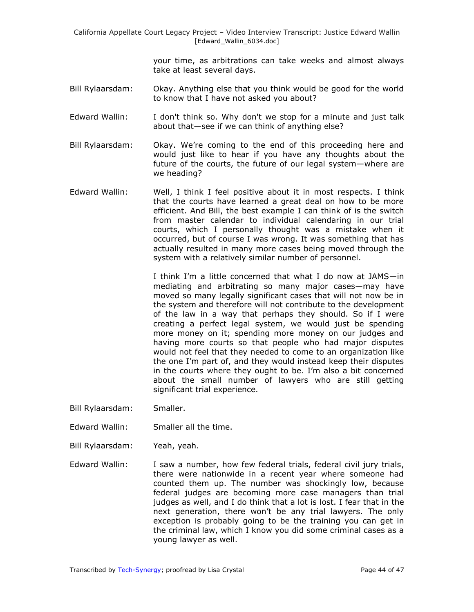> your time, as arbitrations can take weeks and almost always take at least several days.

- Bill Rylaarsdam: Okay. Anything else that you think would be good for the world to know that I have not asked you about?
- Edward Wallin: I don't think so. Why don't we stop for a minute and just talk about that—see if we can think of anything else?
- Bill Rylaarsdam: Okay. We're coming to the end of this proceeding here and would just like to hear if you have any thoughts about the future of the courts, the future of our legal system—where are we heading?
- Edward Wallin: Well, I think I feel positive about it in most respects. I think that the courts have learned a great deal on how to be more efficient. And Bill, the best example I can think of is the switch from master calendar to individual calendaring in our trial courts, which I personally thought was a mistake when it occurred, but of course I was wrong. It was something that has actually resulted in many more cases being moved through the system with a relatively similar number of personnel.

I think I'm a little concerned that what I do now at JAMS—in mediating and arbitrating so many major cases—may have moved so many legally significant cases that will not now be in the system and therefore will not contribute to the development of the law in a way that perhaps they should. So if I were creating a perfect legal system, we would just be spending more money on it; spending more money on our judges and having more courts so that people who had major disputes would not feel that they needed to come to an organization like the one I'm part of, and they would instead keep their disputes in the courts where they ought to be. I'm also a bit concerned about the small number of lawyers who are still getting significant trial experience.

- Bill Rylaarsdam: Smaller.
- Edward Wallin: Smaller all the time.
- Bill Rylaarsdam: Yeah, yeah.
- Edward Wallin: I saw a number, how few federal trials, federal civil jury trials, there were nationwide in a recent year where someone had counted them up. The number was shockingly low, because federal judges are becoming more case managers than trial judges as well, and I do think that a lot is lost. I fear that in the next generation, there won't be any trial lawyers. The only exception is probably going to be the training you can get in the criminal law, which I know you did some criminal cases as a young lawyer as well.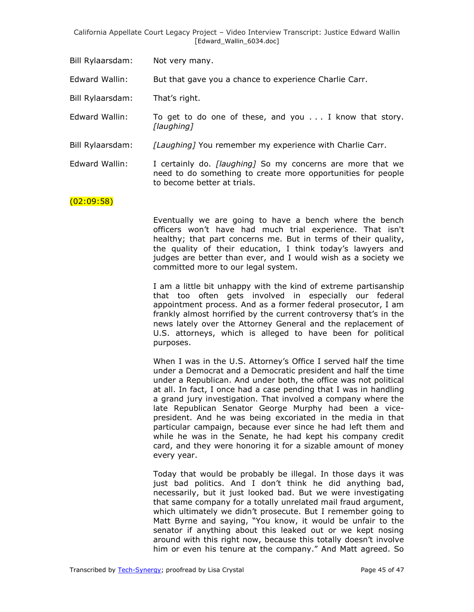Bill Rylaarsdam: Not very many.

Edward Wallin: But that gave you a chance to experience Charlie Carr.

Bill Rylaarsdam: That's right.

Edward Wallin: To get to do one of these, and you . . . I know that story. *[laughing]*

Bill Rylaarsdam: *[Laughing]* You remember my experience with Charlie Carr.

Edward Wallin: I certainly do. *[laughing]* So my concerns are more that we need to do something to create more opportunities for people to become better at trials.

### (02:09:58)

Eventually we are going to have a bench where the bench officers won't have had much trial experience. That isn't healthy; that part concerns me. But in terms of their quality, the quality of their education, I think today's lawyers and judges are better than ever, and I would wish as a society we committed more to our legal system.

I am a little bit unhappy with the kind of extreme partisanship that too often gets involved in especially our federal appointment process. And as a former federal prosecutor, I am frankly almost horrified by the current controversy that's in the news lately over the Attorney General and the replacement of U.S. attorneys, which is alleged to have been for political purposes.

When I was in the U.S. Attorney's Office I served half the time under a Democrat and a Democratic president and half the time under a Republican. And under both, the office was not political at all. In fact, I once had a case pending that I was in handling a grand jury investigation. That involved a company where the late Republican Senator George Murphy had been a vicepresident. And he was being excoriated in the media in that particular campaign, because ever since he had left them and while he was in the Senate, he had kept his company credit card, and they were honoring it for a sizable amount of money every year.

Today that would be probably be illegal. In those days it was just bad politics. And I don't think he did anything bad, necessarily, but it just looked bad. But we were investigating that same company for a totally unrelated mail fraud argument, which ultimately we didn't prosecute. But I remember going to Matt Byrne and saying, "You know, it would be unfair to the senator if anything about this leaked out or we kept nosing around with this right now, because this totally doesn't involve him or even his tenure at the company." And Matt agreed. So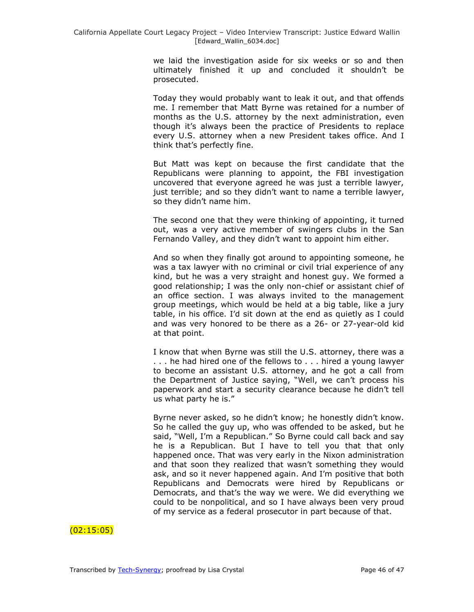we laid the investigation aside for six weeks or so and then ultimately finished it up and concluded it shouldn't be prosecuted.

Today they would probably want to leak it out, and that offends me. I remember that Matt Byrne was retained for a number of months as the U.S. attorney by the next administration, even though it's always been the practice of Presidents to replace every U.S. attorney when a new President takes office. And I think that's perfectly fine.

But Matt was kept on because the first candidate that the Republicans were planning to appoint, the FBI investigation uncovered that everyone agreed he was just a terrible lawyer, just terrible; and so they didn't want to name a terrible lawyer, so they didn't name him.

The second one that they were thinking of appointing, it turned out, was a very active member of swingers clubs in the San Fernando Valley, and they didn't want to appoint him either.

And so when they finally got around to appointing someone, he was a tax lawyer with no criminal or civil trial experience of any kind, but he was a very straight and honest guy. We formed a good relationship; I was the only non-chief or assistant chief of an office section. I was always invited to the management group meetings, which would be held at a big table, like a jury table, in his office. I'd sit down at the end as quietly as I could and was very honored to be there as a 26- or 27-year-old kid at that point.

I know that when Byrne was still the U.S. attorney, there was a . . . he had hired one of the fellows to . . . hired a young lawyer to become an assistant U.S. attorney, and he got a call from the Department of Justice saying, "Well, we can't process his paperwork and start a security clearance because he didn't tell us what party he is."

Byrne never asked, so he didn't know; he honestly didn't know. So he called the guy up, who was offended to be asked, but he said, "Well, I'm a Republican." So Byrne could call back and say he is a Republican. But I have to tell you that that only happened once. That was very early in the Nixon administration and that soon they realized that wasn't something they would ask, and so it never happened again. And I'm positive that both Republicans and Democrats were hired by Republicans or Democrats, and that's the way we were. We did everything we could to be nonpolitical, and so I have always been very proud of my service as a federal prosecutor in part because of that.

# (02:15:05)